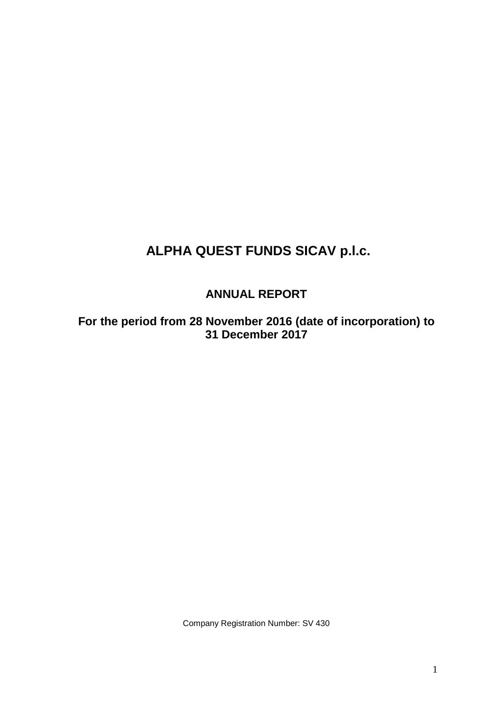# **ANNUAL REPORT**

**For the period from 28 November 2016 (date of incorporation) to 31 December 2017**

Company Registration Number: SV 430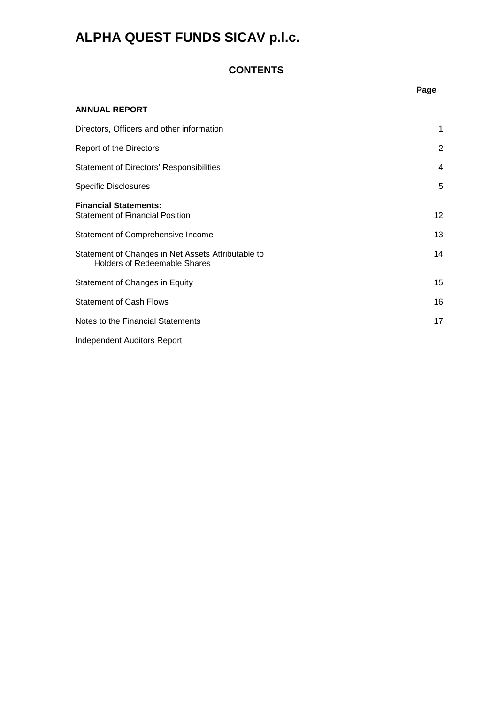## **CONTENTS**

|                                                                                           | Page |
|-------------------------------------------------------------------------------------------|------|
| ANNUAL REPORT                                                                             |      |
| Directors, Officers and other information                                                 | 1    |
| <b>Report of the Directors</b>                                                            | 2    |
| <b>Statement of Directors' Responsibilities</b>                                           | 4    |
| <b>Specific Disclosures</b>                                                               | 5    |
| <b>Financial Statements:</b><br><b>Statement of Financial Position</b>                    | 12   |
| Statement of Comprehensive Income                                                         | 13   |
| Statement of Changes in Net Assets Attributable to<br><b>Holders of Redeemable Shares</b> | 14   |
| Statement of Changes in Equity                                                            | 15   |
| <b>Statement of Cash Flows</b>                                                            | 16   |
| Notes to the Financial Statements                                                         | 17   |
| <b>Independent Auditors Report</b>                                                        |      |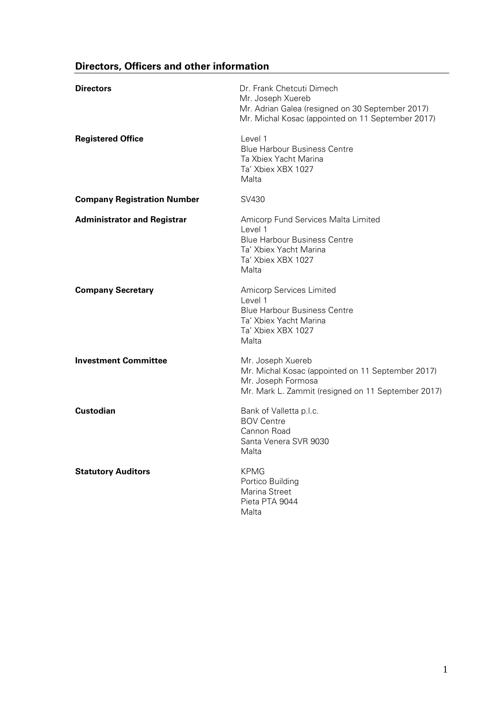# **Directors, Officers and other information**

| <b>Directors</b>                   | Dr. Frank Chetcuti Dimech<br>Mr. Joseph Xuereb<br>Mr. Adrian Galea (resigned on 30 September 2017)<br>Mr. Michal Kosac (appointed on 11 September 2017) |
|------------------------------------|---------------------------------------------------------------------------------------------------------------------------------------------------------|
| <b>Registered Office</b>           | Level 1<br><b>Blue Harbour Business Centre</b><br>Ta Xbiex Yacht Marina<br>Ta' Xbiex XBX 1027<br>Malta                                                  |
| <b>Company Registration Number</b> | SV430                                                                                                                                                   |
| <b>Administrator and Registrar</b> | Amicorp Fund Services Malta Limited<br>Level 1<br><b>Blue Harbour Business Centre</b><br>Ta' Xbiex Yacht Marina<br>Ta' Xbiex XBX 1027<br>Malta          |
| <b>Company Secretary</b>           | Amicorp Services Limited<br>Level 1<br><b>Blue Harbour Business Centre</b><br>Ta' Xbiex Yacht Marina<br>Ta' Xbiex XBX 1027<br>Malta                     |
| <b>Investment Committee</b>        | Mr. Joseph Xuereb<br>Mr. Michal Kosac (appointed on 11 September 2017)<br>Mr. Joseph Formosa<br>Mr. Mark L. Zammit (resigned on 11 September 2017)      |
| <b>Custodian</b>                   | Bank of Valletta p.l.c.<br><b>BOV Centre</b><br>Cannon Road<br>Santa Venera SVR 9030<br>Malta                                                           |
| <b>Statutory Auditors</b>          | <b>KPMG</b><br>Portico Building<br>Marina Street<br>Pieta PTA 9044<br>Malta                                                                             |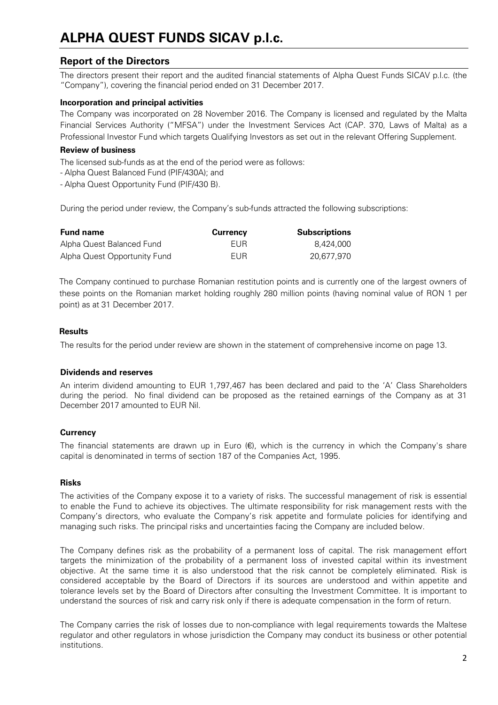## **Report of the Directors**

The directors present their report and the audited financial statements of Alpha Quest Funds SICAV p.l.c. (the "Company"), covering the financial period ended on 31 December 2017.

## **Incorporation and principal activities**

The Company was incorporated on 28 November 2016. The Company is licensed and regulated by the Malta Financial Services Authority ("MFSA") under the Investment Services Act (CAP. 370, Laws of Malta) as a Professional Investor Fund which targets Qualifying Investors as set out in the relevant Offering Supplement.

## **Review of business**

The licensed sub-funds as at the end of the period were as follows:

- Alpha Quest Balanced Fund (PIF/430A); and

- Alpha Quest Opportunity Fund (PIF/430 B).

During the period under review, the Company's sub-funds attracted the following subscriptions:

| <b>Fund name</b>             | <b>Currency</b> | <b>Subscriptions</b> |
|------------------------------|-----------------|----------------------|
| Alpha Quest Balanced Fund    | FUR             | 8.424.000            |
| Alpha Quest Opportunity Fund | FUR             | 20.677.970           |

The Company continued to purchase Romanian restitution points and is currently one of the largest owners of these points on the Romanian market holding roughly 280 million points (having nominal value of RON 1 per point) as at 31 December 2017.

## **Results**

The results for the period under review are shown in the statement of comprehensive income on page 13.

### **Dividends and reserves**

An interim dividend amounting to EUR 1,797,467 has been declared and paid to the 'A' Class Shareholders during the period. No final dividend can be proposed as the retained earnings of the Company as at 31 December 2017 amounted to EUR Nil.

## **Currency**

The financial statements are drawn up in Euro  $(\epsilon)$ , which is the currency in which the Company's share capital is denominated in terms of section 187 of the Companies Act, 1995.

### **Risks**

The activities of the Company expose it to a variety of risks. The successful management of risk is essential to enable the Fund to achieve its objectives. The ultimate responsibility for risk management rests with the Company's directors, who evaluate the Company's risk appetite and formulate policies for identifying and managing such risks. The principal risks and uncertainties facing the Company are included below.

The Company defines risk as the probability of a permanent loss of capital. The risk management effort targets the minimization of the probability of a permanent loss of invested capital within its investment objective. At the same time it is also understood that the risk cannot be completely eliminated. Risk is considered acceptable by the Board of Directors if its sources are understood and within appetite and tolerance levels set by the Board of Directors after consulting the Investment Committee. It is important to understand the sources of risk and carry risk only if there is adequate compensation in the form of return.

The Company carries the risk of losses due to non-compliance with legal requirements towards the Maltese regulator and other regulators in whose jurisdiction the Company may conduct its business or other potential institutions.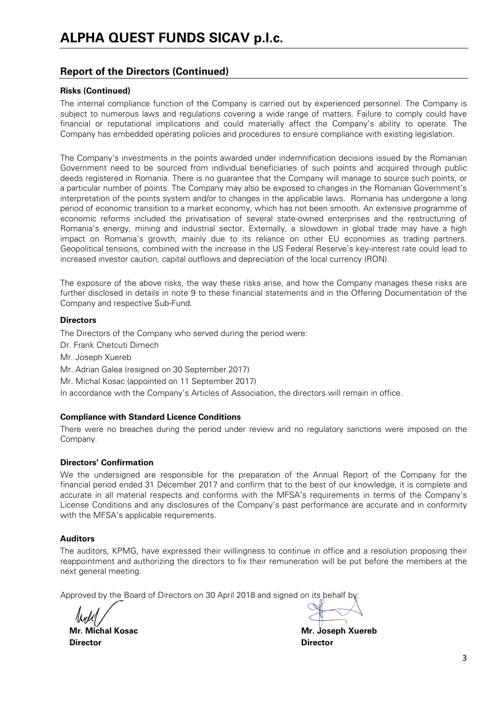## **Report of the Directors (Continued)**

## **Risks (Continued)**

The internal compliance function of the Company is carried out by experienced personnel. The Company is subject to numerous laws and regulations covering a wide range of matters. Failure to comply could have financial or reputational implications and could materially affect the Company's ability to operate. The Company has embedded operating policies and procedures to ensure compliance with existing legislation.

The Company's investments in the points awarded under indemnification decisions issued by the Romanian Government need to be sourced from individual beneficiaries of such points and acquired through public deeds registered in Romania. There is no guarantee that the Company will manage to source such points, or a particular number of points. The Company may also be exposed to changes in the Romanian Government's interpretation of the points system and/or to changes in the applicable laws. Romania has undergone a long period of economic transition to a market economy, which has not been smooth. An extensive programme of economic reforms included the privatisation of several state-owned enterprises and the restructuring of Romania's energy, mining and industrial sector. Externally, a slowdown in global trade may have a high impact on Romania's growth, mainly due to its reliance on other EU economies as trading partners. Geopolitical tensions, combined with the increase in the US Federal Reserve's key-interest rate could lead to increased investor caution, capital outflows and depreciation of the local currency (RON).

The exposure of the above risks, the way these risks arise, and how the Company manages these risks are further disclosed in details in note 9 to these financial statements and in the Offering Documentation of the Company and respective Sub-Fund.

### **Directors**

The Directors of the Company who served during the period were: Dr. Frank Chetcuti Dimech Mr. Joseph Xuereb Mr. Adrian Galea (resigned on 30 September 2017) Mr. Michal Kosac (appointed on 11 September 2017) In accordance with the Company's Articles of Association, the directors will remain in office.

## **Compliance with Standard Licence Conditions**

There were no breaches during the period under review and no regulatory sanctions were imposed on the Company.

## **Directors' Confirmation**

We the undersigned are responsible for the preparation of the Annual Report of the Company for the financial period ended 31 December 2017 and confirm that to the best of our knowledge, it is complete and accurate in all material respects and conforms with the MFSA's requirements in terms of the Company's License Conditions and any disclosures of the Company's past performance are accurate and in conformity with the MFSA's applicable requirements.

### **Auditors**

The auditors, KPMG, have expressed their willingness to continue in office and a resolution proposing their reappointment and authorizing the directors to fix their remuneration will be put before the members at the next general meeting.

Approved by the Board of Directors on 30 April 2018 and signed on its behalf by

**Director** Director

 **Mr. Michal Kosac Mr. Joseph Xuereb**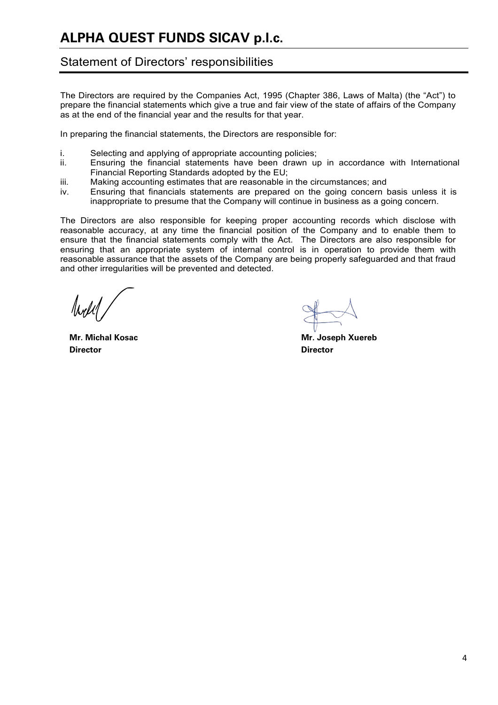# Statement of Directors' responsibilities

The Directors are required by the Companies Act, 1995 (Chapter 386, Laws of Malta) (the "Act") to prepare the financial statements which give a true and fair view of the state of affairs of the Company as at the end of the financial year and the results for that year.

In preparing the financial statements, the Directors are responsible for:

- i. Selecting and applying of appropriate accounting policies;<br>ii. Finsuring the financial statements have been drawn un
- Ensuring the financial statements have been drawn up in accordance with International Financial Reporting Standards adopted by the EU;
- iii. Making accounting estimates that are reasonable in the circumstances; and
- iv. Ensuring that financials statements are prepared on the going concern basis unless it is inappropriate to presume that the Company will continue in business as a going concern.

The Directors are also responsible for keeping proper accounting records which disclose with reasonable accuracy, at any time the financial position of the Company and to enable them to ensure that the financial statements comply with the Act. The Directors are also responsible for ensuring that an appropriate system of internal control is in operation to provide them with reasonable assurance that the assets of the Company are being properly safeguarded and that fraud and other irregularities will be prevented and detected.

 **Director Director**

 **Mr. Michal Kosac Mr. Joseph Xuereb**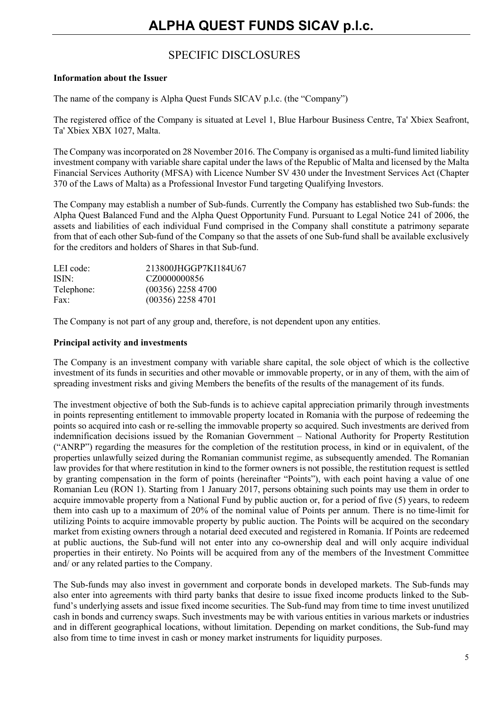# SPECIFIC DISCLOSURES

## **Information about the Issuer**

The name of the company is Alpha Quest Funds SICAV p.l.c. (the "Company")

The registered office of the Company is situated at Level 1, Blue Harbour Business Centre, Ta' Xbiex Seafront, Ta' Xbiex XBX 1027, Malta.

The Company was incorporated on 28 November 2016. The Company is organised as a multi-fund limited liability investment company with variable share capital under the laws of the Republic of Malta and licensed by the Malta Financial Services Authority (MFSA) with Licence Number SV 430 under the Investment Services Act (Chapter 370 of the Laws of Malta) as a Professional Investor Fund targeting Qualifying Investors.

The Company may establish a number of Sub-funds. Currently the Company has established two Sub-funds: the Alpha Quest Balanced Fund and the Alpha Quest Opportunity Fund. Pursuant to Legal Notice 241 of 2006, the assets and liabilities of each individual Fund comprised in the Company shall constitute a patrimony separate from that of each other Sub-fund of the Company so that the assets of one Sub-fund shall be available exclusively for the creditors and holders of Shares in that Sub-fund.

| LEI code:         | 213800JHGGP7KI184U67 |
|-------------------|----------------------|
| ISIN <sup>.</sup> | CZ0000000856         |
| Telephone:        | $(00356)$ 2258 4700  |
| Fax:              | $(00356)$ 2258 4701  |

The Company is not part of any group and, therefore, is not dependent upon any entities.

## **Principal activity and investments**

The Company is an investment company with variable share capital, the sole object of which is the collective investment of its funds in securities and other movable or immovable property, or in any of them, with the aim of spreading investment risks and giving Members the benefits of the results of the management of its funds.

The investment objective of both the Sub-funds is to achieve capital appreciation primarily through investments in points representing entitlement to immovable property located in Romania with the purpose of redeeming the points so acquired into cash or re-selling the immovable property so acquired. Such investments are derived from indemnification decisions issued by the Romanian Government – National Authority for Property Restitution ("ANRP") regarding the measures for the completion of the restitution process, in kind or in equivalent, of the properties unlawfully seized during the Romanian communist regime, as subsequently amended. The Romanian law provides for that where restitution in kind to the former owners is not possible, the restitution request is settled by granting compensation in the form of points (hereinafter "Points"), with each point having a value of one Romanian Leu (RON 1). Starting from 1 January 2017, persons obtaining such points may use them in order to acquire immovable property from a National Fund by public auction or, for a period of five (5) years, to redeem them into cash up to a maximum of 20% of the nominal value of Points per annum. There is no time-limit for utilizing Points to acquire immovable property by public auction. The Points will be acquired on the secondary market from existing owners through a notarial deed executed and registered in Romania. If Points are redeemed at public auctions, the Sub-fund will not enter into any co-ownership deal and will only acquire individual properties in their entirety. No Points will be acquired from any of the members of the Investment Committee and/ or any related parties to the Company.

The Sub-funds may also invest in government and corporate bonds in developed markets. The Sub-funds may also enter into agreements with third party banks that desire to issue fixed income products linked to the Subfund's underlying assets and issue fixed income securities. The Sub-fund may from time to time invest unutilized cash in bonds and currency swaps. Such investments may be with various entities in various markets or industries and in different geographical locations, without limitation. Depending on market conditions, the Sub-fund may also from time to time invest in cash or money market instruments for liquidity purposes.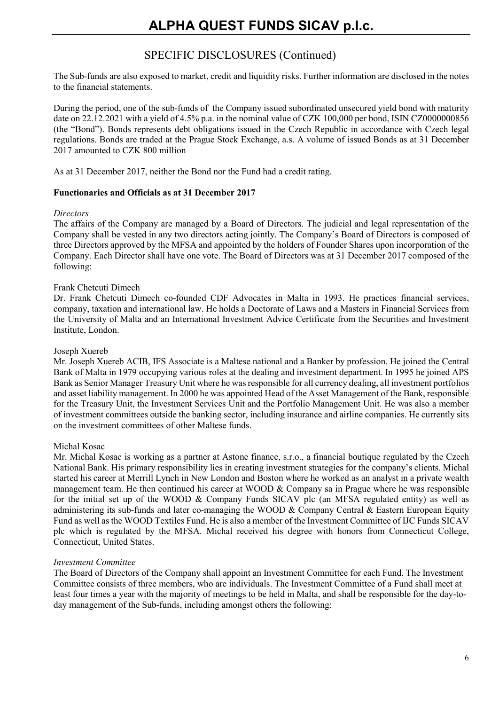The Sub-funds are also exposed to market, credit and liquidity risks. Further information are disclosed in the notes to the financial statements.

During the period, one of the sub-funds of the Company issued subordinated unsecured yield bond with maturity date on 22.12.2021 with a yield of 4.5% p.a. in the nominal value of CZK 100,000 per bond, ISIN CZ0000000856 (the "Bond"). Bonds represents debt obligations issued in the Czech Republic in accordance with Czech legal regulations. Bonds are traded at the Prague Stock Exchange, a.s. A volume of issued Bonds as at 31 December 2017 amounted to CZK 800 million

As at 31 December 2017, neither the Bond nor the Fund had a credit rating.

## **Functionaries and Officials as at 31 December 2017**

## *Directors*

The affairs of the Company are managed by a Board of Directors. The judicial and legal representation of the Company shall be vested in any two directors acting jointly. The Company's Board of Directors is composed of three Directors approved by the MFSA and appointed by the holders of Founder Shares upon incorporation of the Company. Each Director shall have one vote. The Board of Directors was at 31 December 2017 composed of the following:

## Frank Chetcuti Dimech

Dr. Frank Chetcuti Dimech co-founded CDF Advocates in Malta in 1993. He practices financial services, company, taxation and international law. He holds a Doctorate of Laws and a Masters in Financial Services from the University of Malta and an International Investment Advice Certificate from the Securities and Investment Institute, London.

### Joseph Xuereb

Mr. Joseph Xuereb ACIB, IFS Associate is a Maltese national and a Banker by profession. He joined the Central Bank of Malta in 1979 occupying various roles at the dealing and investment department. In 1995 he joined APS Bank as Senior Manager Treasury Unit where he was responsible for all currency dealing, all investment portfolios and asset liability management. In 2000 he was appointed Head of the Asset Management of the Bank, responsible for the Treasury Unit, the Investment Services Unit and the Portfolio Management Unit. He was also a member of investment committees outside the banking sector, including insurance and airline companies. He currently sits on the investment committees of other Maltese funds.

## Michal Kosac

Mr. Michal Kosac is working as a partner at Astone finance, s.r.o., a financial boutique regulated by the Czech National Bank. His primary responsibility lies in creating investment strategies for the company's clients. Michal started his career at Merrill Lynch in New London and Boston where he worked as an analyst in a private wealth management team. He then continued his career at WOOD  $&$  Company sa in Prague where he was responsible for the initial set up of the WOOD & Company Funds SICAV plc (an MFSA regulated entity) as well as administering its sub-funds and later co-managing the WOOD & Company Central & Eastern European Equity Fund as well as the WOOD Textiles Fund. He is also a member of the Investment Committee of IJC Funds SICAV plc which is regulated by the MFSA. Michal received his degree with honors from Connecticut College, Connecticut, United States.

### *Investment Committee*

The Board of Directors of the Company shall appoint an Investment Committee for each Fund. The Investment Committee consists of three members, who are individuals. The Investment Committee of a Fund shall meet at least four times a year with the majority of meetings to be held in Malta, and shall be responsible for the day-today management of the Sub-funds, including amongst others the following: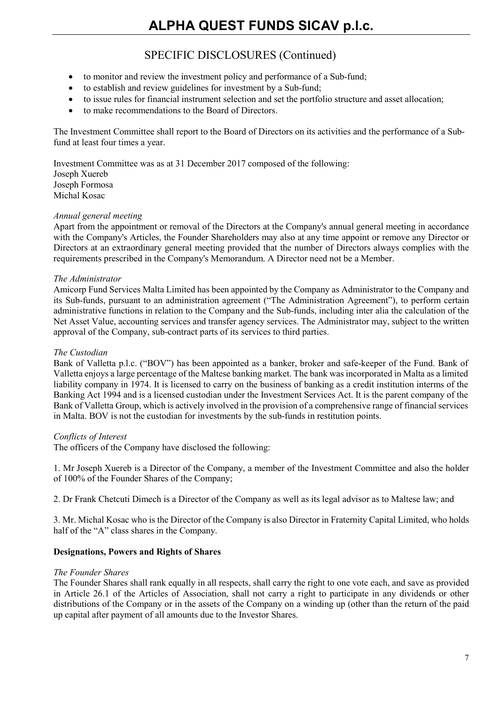- to monitor and review the investment policy and performance of a Sub-fund;
- to establish and review guidelines for investment by a Sub-fund;
- to issue rules for financial instrument selection and set the portfolio structure and asset allocation;
- to make recommendations to the Board of Directors.

The Investment Committee shall report to the Board of Directors on its activities and the performance of a Subfund at least four times a year.

Investment Committee was as at 31 December 2017 composed of the following: Joseph Xuereb Joseph Formosa Michal Kosac

## *Annual general meeting*

Apart from the appointment or removal of the Directors at the Company's annual general meeting in accordance with the Company's Articles, the Founder Shareholders may also at any time appoint or remove any Director or Directors at an extraordinary general meeting provided that the number of Directors always complies with the requirements prescribed in the Company's Memorandum. A Director need not be a Member.

## *The Administrator*

Amicorp Fund Services Malta Limited has been appointed by the Company as Administrator to the Company and its Sub-funds, pursuant to an administration agreement ("The Administration Agreement"), to perform certain administrative functions in relation to the Company and the Sub-funds, including inter alia the calculation of the Net Asset Value, accounting services and transfer agency services. The Administrator may, subject to the written approval of the Company, sub-contract parts of its services to third parties.

## *The Custodian*

Bank of Valletta p.l.c. ("BOV") has been appointed as a banker, broker and safe-keeper of the Fund. Bank of Valletta enjoys a large percentage of the Maltese banking market. The bank was incorporated in Malta as a limited liability company in 1974. It is licensed to carry on the business of banking as a credit institution interms of the Banking Act 1994 and is a licensed custodian under the Investment Services Act. It is the parent company of the Bank of Valletta Group, which is actively involved in the provision of a comprehensive range of financial services in Malta. BOV is not the custodian for investments by the sub-funds in restitution points.

## *Conflicts of Interest*

The officers of the Company have disclosed the following:

1. Mr Joseph Xuereb is a Director of the Company, a member of the Investment Committee and also the holder of 100% of the Founder Shares of the Company;

2. Dr Frank Chetcuti Dimech is a Director of the Company as well as its legal advisor as to Maltese law; and

3. Mr. Michal Kosac who is the Director of the Company is also Director in Fraternity Capital Limited, who holds half of the "A" class shares in the Company.

## **Designations, Powers and Rights of Shares**

## *The Founder Shares*

The Founder Shares shall rank equally in all respects, shall carry the right to one vote each, and save as provided in Article 26.1 of the Articles of Association, shall not carry a right to participate in any dividends or other distributions of the Company or in the assets of the Company on a winding up (other than the return of the paid up capital after payment of all amounts due to the Investor Shares.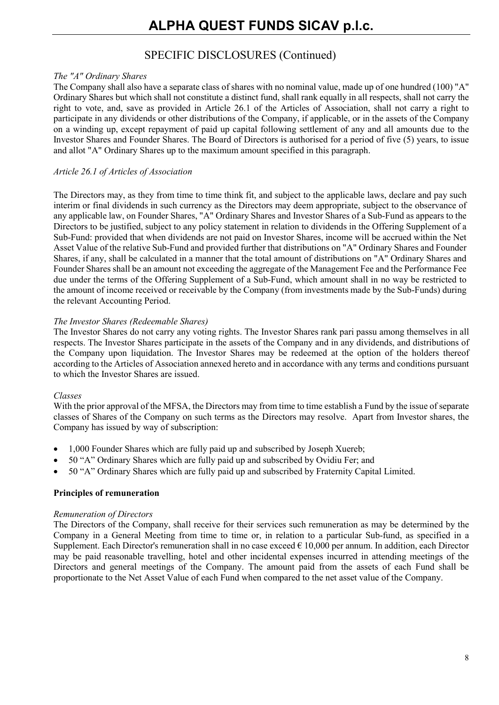## *The "A" Ordinary Shares*

The Company shall also have a separate class of shares with no nominal value, made up of one hundred (100) "A" Ordinary Shares but which shall not constitute a distinct fund, shall rank equally in all respects, shall not carry the right to vote, and, save as provided in Article 26.1 of the Articles of Association, shall not carry a right to participate in any dividends or other distributions of the Company, if applicable, or in the assets of the Company on a winding up, except repayment of paid up capital following settlement of any and all amounts due to the Investor Shares and Founder Shares. The Board of Directors is authorised for a period of five (5) years, to issue and allot "A" Ordinary Shares up to the maximum amount specified in this paragraph.

## *Article 26.1 of Articles of Association*

The Directors may, as they from time to time think fit, and subject to the applicable laws, declare and pay such interim or final dividends in such currency as the Directors may deem appropriate, subject to the observance of any applicable law, on Founder Shares, "A" Ordinary Shares and Investor Shares of a Sub-Fund as appears to the Directors to be justified, subject to any policy statement in relation to dividends in the Offering Supplement of a Sub-Fund: provided that when dividends are not paid on Investor Shares, income will be accrued within the Net Asset Value of the relative Sub-Fund and provided further that distributions on "A" Ordinary Shares and Founder Shares, if any, shall be calculated in a manner that the total amount of distributions on "A" Ordinary Shares and Founder Shares shall be an amount not exceeding the aggregate of the Management Fee and the Performance Fee due under the terms of the Offering Supplement of a Sub-Fund, which amount shall in no way be restricted to the amount of income received or receivable by the Company (from investments made by the Sub-Funds) during the relevant Accounting Period.

## *The Investor Shares (Redeemable Shares)*

The Investor Shares do not carry any voting rights. The Investor Shares rank pari passu among themselves in all respects. The Investor Shares participate in the assets of the Company and in any dividends, and distributions of the Company upon liquidation. The Investor Shares may be redeemed at the option of the holders thereof according to the Articles of Association annexed hereto and in accordance with any terms and conditions pursuant to which the Investor Shares are issued.

## *Classes*

With the prior approval of the MFSA, the Directors may from time to time establish a Fund by the issue of separate classes of Shares of the Company on such terms as the Directors may resolve. Apart from Investor shares, the Company has issued by way of subscription:

- 1,000 Founder Shares which are fully paid up and subscribed by Joseph Xuereb;
- 50 "A" Ordinary Shares which are fully paid up and subscribed by Ovidiu Fer; and
- 50 "A" Ordinary Shares which are fully paid up and subscribed by Fraternity Capital Limited.

## **Principles of remuneration**

## *Remuneration of Directors*

The Directors of the Company, shall receive for their services such remuneration as may be determined by the Company in a General Meeting from time to time or, in relation to a particular Sub-fund, as specified in a Supplement. Each Director's remuneration shall in no case exceed  $\epsilon$  10,000 per annum. In addition, each Director may be paid reasonable travelling, hotel and other incidental expenses incurred in attending meetings of the Directors and general meetings of the Company. The amount paid from the assets of each Fund shall be proportionate to the Net Asset Value of each Fund when compared to the net asset value of the Company.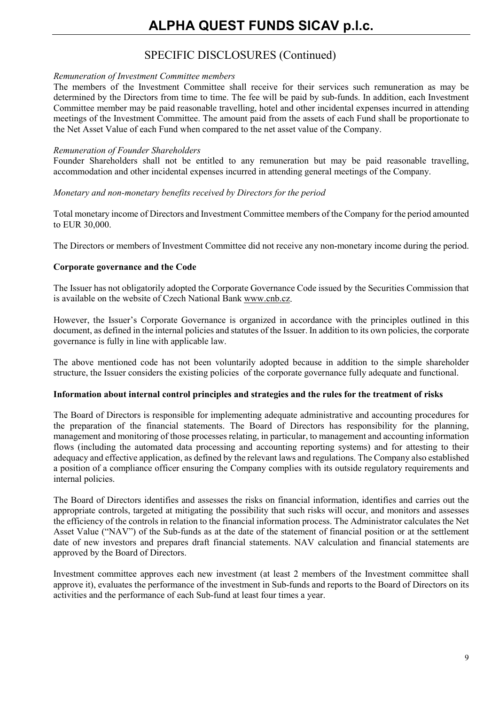# SPECIFIC DISCLOSURES (Continued)

## *Remuneration of Investment Committee members*

The members of the Investment Committee shall receive for their services such remuneration as may be determined by the Directors from time to time. The fee will be paid by sub-funds. In addition, each Investment Committee member may be paid reasonable travelling, hotel and other incidental expenses incurred in attending meetings of the Investment Committee. The amount paid from the assets of each Fund shall be proportionate to the Net Asset Value of each Fund when compared to the net asset value of the Company.

## *Remuneration of Founder Shareholders*

Founder Shareholders shall not be entitled to any remuneration but may be paid reasonable travelling, accommodation and other incidental expenses incurred in attending general meetings of the Company.

*Monetary and non-monetary benefits received by Directors for the period*

Total monetary income of Directors and Investment Committee members of the Company for the period amounted to EUR 30,000.

The Directors or members of Investment Committee did not receive any non-monetary income during the period.

## **Corporate governance and the Code**

The Issuer has not obligatorily adopted the Corporate Governance Code issued by the Securities Commission that is available on the website of Czech National Bank [www.cnb.cz.](http://www.cnb.cz/)

However, the Issuer's Corporate Governance is organized in accordance with the principles outlined in this document, as defined in the internal policies and statutes of the Issuer. In addition to its own policies, the corporate governance is fully in line with applicable law.

The above mentioned code has not been voluntarily adopted because in addition to the simple shareholder structure, the Issuer considers the existing policies of the corporate governance fully adequate and functional.

## **Information about internal control principles and strategies and the rules for the treatment of risks**

The Board of Directors is responsible for implementing adequate administrative and accounting procedures for the preparation of the financial statements. The Board of Directors has responsibility for the planning, management and monitoring of those processes relating, in particular, to management and accounting information flows (including the automated data processing and accounting reporting systems) and for attesting to their adequacy and effective application, as defined by the relevant laws and regulations. The Company also established a position of a compliance officer ensuring the Company complies with its outside regulatory requirements and internal policies.

The Board of Directors identifies and assesses the risks on financial information, identifies and carries out the appropriate controls, targeted at mitigating the possibility that such risks will occur, and monitors and assesses the efficiency of the controls in relation to the financial information process. The Administrator calculates the Net Asset Value ("NAV") of the Sub-funds as at the date of the statement of financial position or at the settlement date of new investors and prepares draft financial statements. NAV calculation and financial statements are approved by the Board of Directors.

Investment committee approves each new investment (at least 2 members of the Investment committee shall approve it), evaluates the performance of the investment in Sub-funds and reports to the Board of Directors on its activities and the performance of each Sub-fund at least four times a year.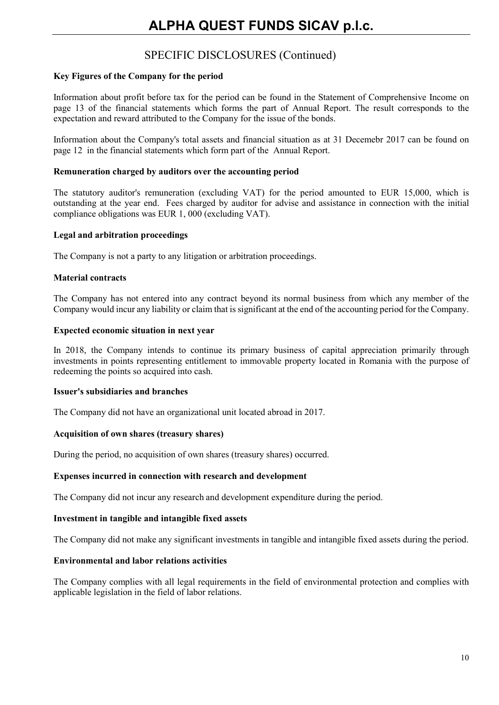## **Key Figures of the Company for the period**

Information about profit before tax for the period can be found in the Statement of Comprehensive Income on page 13 of the financial statements which forms the part of Annual Report. The result corresponds to the expectation and reward attributed to the Company for the issue of the bonds.

Information about the Company's total assets and financial situation as at 31 Decemebr 2017 can be found on page 12 in the financial statements which form part of the Annual Report.

## **Remuneration charged by auditors over the accounting period**

The statutory auditor's remuneration (excluding VAT) for the period amounted to EUR 15,000, which is outstanding at the year end. Fees charged by auditor for advise and assistance in connection with the initial compliance obligations was EUR 1, 000 (excluding VAT).

## **Legal and arbitration proceedings**

The Company is not a party to any litigation or arbitration proceedings.

## **Material contracts**

The Company has not entered into any contract beyond its normal business from which any member of the Company would incur any liability or claim that is significant at the end of the accounting period for the Company.

## **Expected economic situation in next year**

In 2018, the Company intends to continue its primary business of capital appreciation primarily through investments in points representing entitlement to immovable property located in Romania with the purpose of redeeming the points so acquired into cash.

### **Issuer's subsidiaries and branches**

The Company did not have an organizational unit located abroad in 2017.

## **Acquisition of own shares (treasury shares)**

During the period, no acquisition of own shares (treasury shares) occurred.

### **Expenses incurred in connection with research and development**

The Company did not incur any research and development expenditure during the period.

## **Investment in tangible and intangible fixed assets**

The Company did not make any significant investments in tangible and intangible fixed assets during the period.

### **Environmental and labor relations activities**

The Company complies with all legal requirements in the field of environmental protection and complies with applicable legislation in the field of labor relations.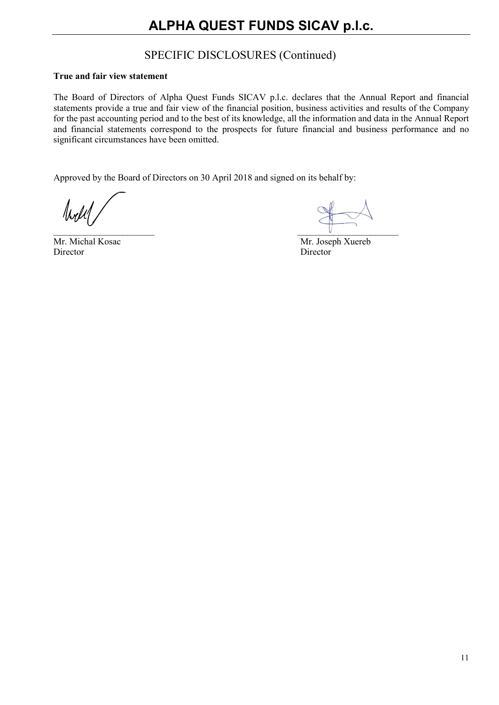## **True and fair view statement**

The Board of Directors of Alpha Quest Funds SICAV p.l.c. declares that the Annual Report and financial statements provide a true and fair view of the financial position, business activities and results of the Company for the past accounting period and to the best of its knowledge, all the information and data in the Annual Report and financial statements correspond to the prospects for future financial and business performance and no significant circumstances have been omitted.

Approved by the Board of Directors on 30 April 2018 and signed on its behalf by:

Noch

Director Director

 $\mathsf{V}$  . The contract of the contract of the contract of the contract of the contract of the contract of the contract of the contract of the contract of the contract of the contract of the contract of the contract of th

Mr. Michal Kosac Mr. Joseph Xuereb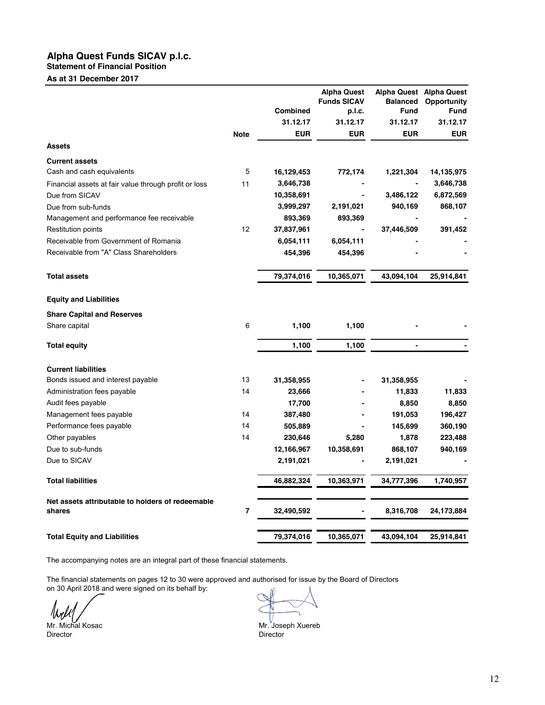**Statement of Financial Position**

**As at 31 December 2017**

|                                                            |                |                 | <b>Alpha Quest</b><br><b>Funds SICAV</b> | <b>Balanced</b>          | Alpha Quest Alpha Quest<br><b>Opportunity</b> |
|------------------------------------------------------------|----------------|-----------------|------------------------------------------|--------------------------|-----------------------------------------------|
|                                                            |                | <b>Combined</b> | p.l.c.                                   | <b>Fund</b>              | <b>Fund</b>                                   |
|                                                            |                | 31.12.17        | 31.12.17                                 | 31.12.17                 | 31.12.17                                      |
|                                                            | <b>Note</b>    | <b>EUR</b>      | <b>EUR</b>                               | <b>EUR</b>               | <b>EUR</b>                                    |
| <b>Assets</b>                                              |                |                 |                                          |                          |                                               |
| <b>Current assets</b>                                      |                |                 |                                          |                          |                                               |
| Cash and cash equivalents                                  | 5              | 16,129,453      | 772,174                                  | 1,221,304                | 14,135,975                                    |
| Financial assets at fair value through profit or loss      | 11             | 3,646,738       |                                          |                          | 3,646,738                                     |
| Due from SICAV                                             |                | 10,358,691      |                                          | 3,486,122                | 6,872,569                                     |
| Due from sub-funds                                         |                | 3,999,297       | 2,191,021                                | 940,169                  | 868,107                                       |
| Management and performance fee receivable                  |                | 893,369         | 893,369                                  |                          |                                               |
| <b>Restitution points</b>                                  | 12             | 37,837,961      |                                          | 37,446,509               | 391,452                                       |
| Receivable from Government of Romania                      |                | 6,054,111       | 6,054,111                                |                          |                                               |
| Receivable from "A" Class Shareholders                     |                | 454,396         | 454,396                                  |                          |                                               |
| <b>Total assets</b>                                        |                | 79,374,016      | 10,365,071                               | 43,094,104               | 25,914,841                                    |
| <b>Equity and Liabilities</b>                              |                |                 |                                          |                          |                                               |
| <b>Share Capital and Reserves</b>                          |                |                 |                                          |                          |                                               |
| Share capital                                              | 6              | 1,100           | 1,100                                    |                          |                                               |
| <b>Total equity</b>                                        |                | 1,100           | 1,100                                    | $\overline{\phantom{0}}$ |                                               |
| <b>Current liabilities</b>                                 |                |                 |                                          |                          |                                               |
| Bonds issued and interest payable                          | 13             | 31,358,955      |                                          | 31,358,955               |                                               |
| Administration fees payable                                | 14             | 23,666          |                                          | 11,833                   | 11,833                                        |
| Audit fees payable                                         |                | 17,700          |                                          | 8,850                    | 8,850                                         |
| Management fees payable                                    | 14             | 387,480         |                                          | 191,053                  | 196,427                                       |
| Performance fees payable                                   | 14             | 505,889         |                                          | 145,699                  | 360,190                                       |
| Other payables                                             | 14             | 230,646         | 5,280                                    | 1,878                    | 223,488                                       |
| Due to sub-funds                                           |                | 12,166,967      | 10,358,691                               | 868,107                  | 940,169                                       |
| Due to SICAV                                               |                | 2,191,021       |                                          | 2,191,021                |                                               |
| <b>Total liabilities</b>                                   |                | 46,882,324      | 10,363,971                               | 34,777,396               | 1,740,957                                     |
| Net assets attributable to holders of redeemable<br>shares | $\overline{7}$ | 32,490,592      |                                          | 8,316,708                | 24,173,884                                    |
| <b>Total Equity and Liabilities</b>                        |                | 79,374,016      | 10,365,071                               | 43,094,104               | 25,914,841                                    |

The accompanying notes are an integral part of these financial statements.

The financial statements on pages 12 to 30 were approved and authorised for issue by the Board of Directors on 30 April 2018 and were signed on its behalf by:

 $M_{\rm H}$  Mr. Michal Kosac Mr. Joseph Xuereb<br>
Director Director Director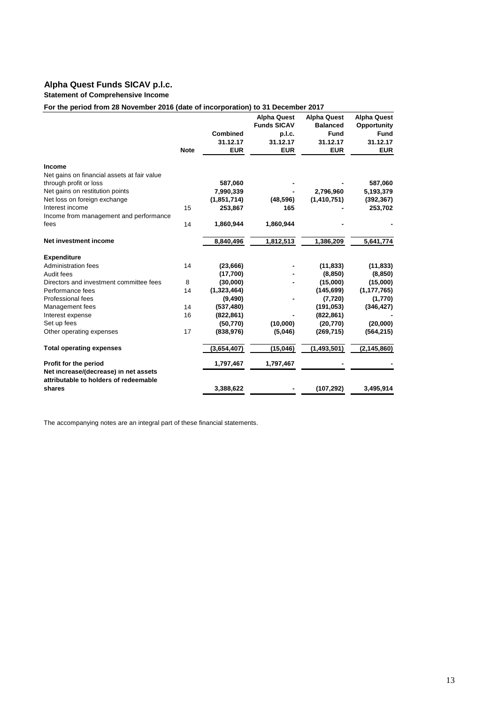#### **Statement of Comprehensive Income**

### **For the period from 28 November 2016 (date of incorporation) to 31 December 2017**

|                                                                                |             |               | <b>Alpha Quest</b> | <b>Alpha Quest</b> | <b>Alpha Quest</b> |
|--------------------------------------------------------------------------------|-------------|---------------|--------------------|--------------------|--------------------|
|                                                                                |             |               | <b>Funds SICAV</b> | <b>Balanced</b>    | Opportunity        |
|                                                                                |             | Combined      | p.l.c.             | Fund               | <b>Fund</b>        |
|                                                                                |             | 31.12.17      | 31.12.17           | 31.12.17           | 31.12.17           |
|                                                                                | <b>Note</b> | <b>EUR</b>    | <b>EUR</b>         | <b>EUR</b>         | <b>EUR</b>         |
| Income                                                                         |             |               |                    |                    |                    |
| Net gains on financial assets at fair value                                    |             |               |                    |                    |                    |
| through profit or loss                                                         |             | 587,060       |                    |                    | 587,060            |
| Net gains on restitution points                                                |             | 7,990,339     |                    | 2,796,960          | 5,193,379          |
| Net loss on foreign exchange                                                   |             | (1, 851, 714) | (48, 596)          | (1,410,751)        | (392, 367)         |
| Interest income                                                                | 15          | 253,867       | 165                |                    | 253,702            |
| Income from management and performance                                         |             |               |                    |                    |                    |
| fees                                                                           | 14          | 1,860,944     | 1,860,944          |                    |                    |
| Net investment income                                                          |             | 8,840,496     | 1,812,513          | 1,386,209          | 5,641,774          |
| <b>Expenditure</b>                                                             |             |               |                    |                    |                    |
| Administration fees                                                            | 14          | (23, 666)     |                    | (11, 833)          | (11, 833)          |
| Audit fees                                                                     |             | (17,700)      |                    | (8, 850)           | (8, 850)           |
| Directors and investment committee fees                                        | 8           | (30,000)      |                    | (15,000)           | (15,000)           |
| Performance fees                                                               | 14          | (1,323,464)   |                    | (145, 699)         | (1, 177, 765)      |
| Professional fees                                                              |             | (9, 490)      |                    | (7, 720)           | (1,770)            |
| Management fees                                                                | 14          | (537, 480)    |                    | (191, 053)         | (346, 427)         |
| Interest expense                                                               | 16          | (822, 861)    |                    | (822, 861)         |                    |
| Set up fees                                                                    |             | (50, 770)     | (10,000)           | (20, 770)          | (20,000)           |
| Other operating expenses                                                       | 17          | (838, 976)    | (5,046)            | (269, 715)         | (564, 215)         |
| <b>Total operating expenses</b>                                                |             | (3,654,407)   | (15, 046)          | (1,493,501)        | (2, 145, 860)      |
| Profit for the period                                                          |             | 1,797,467     | 1,797,467          |                    |                    |
| Net increase/(decrease) in net assets<br>attributable to holders of redeemable |             |               |                    |                    |                    |
| shares                                                                         |             | 3,388,622     |                    | (107, 292)         | 3,495,914          |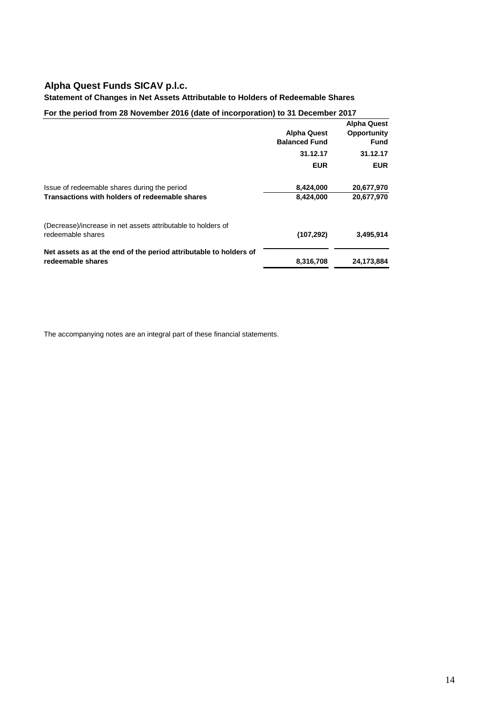### **Statement of Changes in Net Assets Attributable to Holders of Redeemable Shares**

## **For the period from 28 November 2016 (date of incorporation) to 31 December 2017**

|                                                                   |                      | <b>Alpha Quest</b> |
|-------------------------------------------------------------------|----------------------|--------------------|
|                                                                   | <b>Alpha Quest</b>   | Opportunity        |
|                                                                   | <b>Balanced Fund</b> | <b>Fund</b>        |
|                                                                   | 31.12.17             | 31.12.17           |
|                                                                   | <b>EUR</b>           | <b>EUR</b>         |
| Issue of redeemable shares during the period                      | 8,424,000            | 20,677,970         |
| Transactions with holders of redeemable shares                    | 8,424,000            | 20,677,970         |
| (Decrease)/increase in net assets attributable to holders of      |                      |                    |
| redeemable shares                                                 | (107, 292)           | 3,495,914          |
| Net assets as at the end of the period attributable to holders of |                      |                    |
| redeemable shares                                                 | 8,316,708            | 24,173,884         |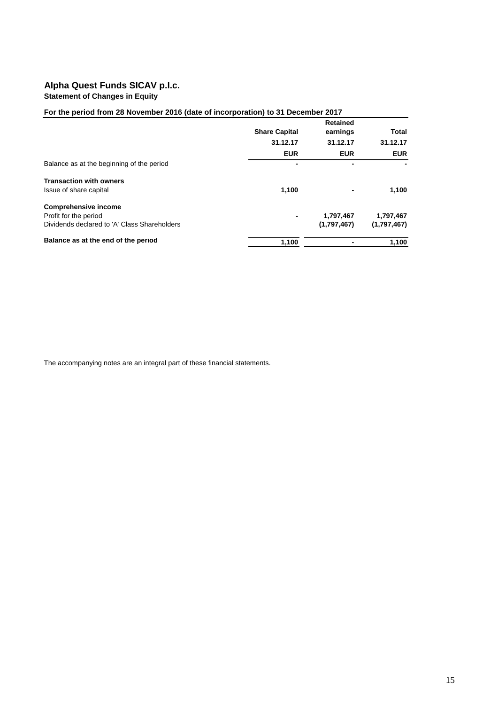## **Alpha Quest Funds SICAV p.l.c. Statement of Changes in Equity**

## **For the period from 28 November 2016 (date of incorporation) to 31 December 2017**

|                                              | <b>Share Capital</b>     | <b>Retained</b><br>earnings | Total       |
|----------------------------------------------|--------------------------|-----------------------------|-------------|
|                                              | 31.12.17                 | 31.12.17                    | 31.12.17    |
|                                              | <b>EUR</b>               | <b>EUR</b>                  | <b>EUR</b>  |
| Balance as at the beginning of the period    |                          | ٠                           |             |
| <b>Transaction with owners</b>               |                          |                             |             |
| Issue of share capital                       | 1,100                    |                             | 1,100       |
| <b>Comprehensive income</b>                  |                          |                             |             |
| Profit for the period                        | $\overline{\phantom{a}}$ | 1,797,467                   | 1,797,467   |
| Dividends declared to 'A' Class Shareholders |                          | (1,797,467)                 | (1,797,467) |
| Balance as at the end of the period          | 1,100                    |                             | 1,100       |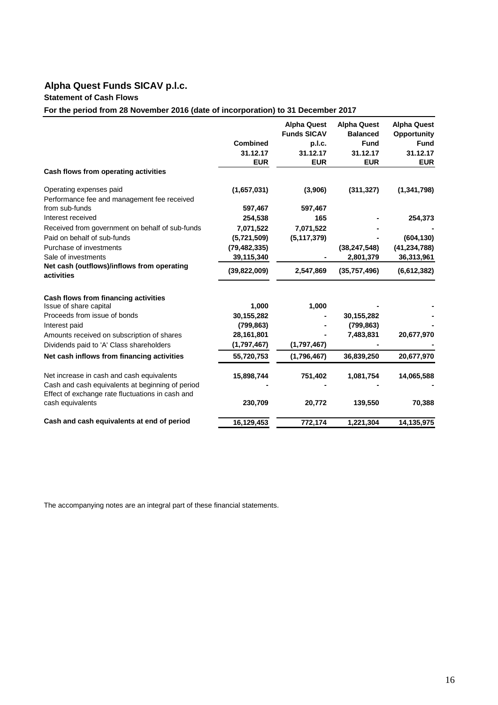## **Statement of Cash Flows**

**For the period from 28 November 2016 (date of incorporation) to 31 December 2017**

|                                                                      |                 | <b>Alpha Quest</b><br><b>Funds SICAV</b> | <b>Alpha Quest</b><br><b>Balanced</b> | <b>Alpha Quest</b><br>Opportunity |
|----------------------------------------------------------------------|-----------------|------------------------------------------|---------------------------------------|-----------------------------------|
|                                                                      | <b>Combined</b> | p.l.c.                                   | <b>Fund</b>                           | <b>Fund</b>                       |
|                                                                      | 31.12.17        | 31.12.17                                 | 31.12.17                              | 31.12.17                          |
| Cash flows from operating activities                                 | <b>EUR</b>      | <b>EUR</b>                               | <b>EUR</b>                            | <b>EUR</b>                        |
| Operating expenses paid                                              | (1,657,031)     | (3,906)                                  | (311, 327)                            | (1, 341, 798)                     |
| Performance fee and management fee received                          |                 |                                          |                                       |                                   |
| from sub-funds                                                       | 597,467         | 597,467                                  |                                       |                                   |
| Interest received                                                    | 254,538         | 165                                      |                                       | 254,373                           |
| Received from government on behalf of sub-funds                      | 7,071,522       | 7,071,522                                |                                       |                                   |
| Paid on behalf of sub-funds                                          | (5,721,509)     | (5, 117, 379)                            |                                       | (604, 130)                        |
| Purchase of investments                                              | (79, 482, 335)  |                                          | (38, 247, 548)                        | (41, 234, 788)                    |
| Sale of investments                                                  | 39,115,340      |                                          | 2,801,379                             | 36,313,961                        |
| Net cash (outflows)/inflows from operating<br>activities             | (39, 822, 009)  | 2,547,869                                | (35,757,496)                          | (6,612,382)                       |
| Cash flows from financing activities                                 |                 |                                          |                                       |                                   |
| Issue of share capital                                               | 1,000           | 1,000                                    |                                       |                                   |
| Proceeds from issue of bonds                                         | 30,155,282      |                                          | 30,155,282                            |                                   |
| Interest paid                                                        | (799, 863)      |                                          | (799, 863)                            |                                   |
| Amounts received on subscription of shares                           | 28,161,801      |                                          | 7,483,831                             | 20,677,970                        |
| Dividends paid to 'A' Class shareholders                             | (1,797,467)     | (1,797,467)                              |                                       |                                   |
| Net cash inflows from financing activities                           | 55,720,753      | (1,796,467)                              | 36,839,250                            | 20,677,970                        |
| Net increase in cash and cash equivalents                            | 15,898,744      | 751,402                                  | 1,081,754                             | 14,065,588                        |
| Cash and cash equivalents at beginning of period                     |                 |                                          |                                       |                                   |
| Effect of exchange rate fluctuations in cash and<br>cash equivalents | 230,709         | 20,772                                   | 139,550                               | 70,388                            |
| Cash and cash equivalents at end of period                           | 16,129,453      | 772,174                                  | 1,221,304                             | 14,135,975                        |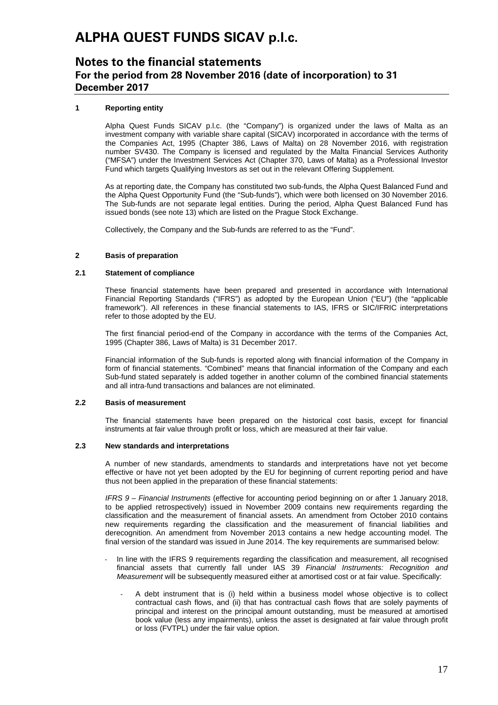## **Notes to the financial statements For the period from 28 November 2016 (date of incorporation) to 31 December 2017**

### **1 Reporting entity**

Alpha Quest Funds SICAV p.l.c. (the "Company") is organized under the laws of Malta as an investment company with variable share capital (SICAV) incorporated in accordance with the terms of the Companies Act, 1995 (Chapter 386, Laws of Malta) on 28 November 2016, with registration number SV430. The Company is licensed and regulated by the Malta Financial Services Authority ("MFSA") under the Investment Services Act (Chapter 370, Laws of Malta) as a Professional Investor Fund which targets Qualifying Investors as set out in the relevant Offering Supplement.

As at reporting date, the Company has constituted two sub-funds, the Alpha Quest Balanced Fund and the Alpha Quest Opportunity Fund (the "Sub-funds"), which were both licensed on 30 November 2016. The Sub-funds are not separate legal entities. During the period, Alpha Quest Balanced Fund has issued bonds (see note 13) which are listed on the Prague Stock Exchange.

Collectively, the Company and the Sub-funds are referred to as the "Fund".

#### $\overline{2}$ **2 Basis of preparation**

### **2.1 Statement of compliance**

These financial statements have been prepared and presented in accordance with International Financial Reporting Standards ("IFRS") as adopted by the European Union ("EU") (the "applicable framework"). All references in these financial statements to IAS, IFRS or SIC/IFRIC interpretations refer to those adopted by the EU.

The first financial period-end of the Company in accordance with the terms of the Companies Act, 1995 (Chapter 386, Laws of Malta) is 31 December 2017.

Financial information of the Sub-funds is reported along with financial information of the Company in form of financial statements. "Combined" means that financial information of the Company and each Sub-fund stated separately is added together in another column of the combined financial statements and all intra-fund transactions and balances are not eliminated.

### **2.2 Basis of measurement**

The financial statements have been prepared on the historical cost basis, except for financial instruments at fair value through profit or loss, which are measured at their fair value.

### **2.3 New standards and interpretations**

A number of new standards, amendments to standards and interpretations have not yet become effective or have not yet been adopted by the EU for beginning of current reporting period and have thus not been applied in the preparation of these financial statements:

*IFRS 9 – Financial Instruments* (effective for accounting period beginning on or after 1 January 2018, to be applied retrospectively) issued in November 2009 contains new requirements regarding the classification and the measurement of financial assets. An amendment from October 2010 contains new requirements regarding the classification and the measurement of financial liabilities and derecognition. An amendment from November 2013 contains a new hedge accounting model. The final version of the standard was issued in June 2014. The key requirements are summarised below:

- In line with the IFRS 9 requirements regarding the classification and measurement, all recognised financial assets that currently fall under IAS 39 *Financial Instruments: Recognition and Measurement* will be subsequently measured either at amortised cost or at fair value. Specifically:
	- A debt instrument that is (i) held within a business model whose objective is to collect contractual cash flows, and (ii) that has contractual cash flows that are solely payments of principal and interest on the principal amount outstanding, must be measured at amortised book value (less any impairments), unless the asset is designated at fair value through profit or loss (FVTPL) under the fair value option.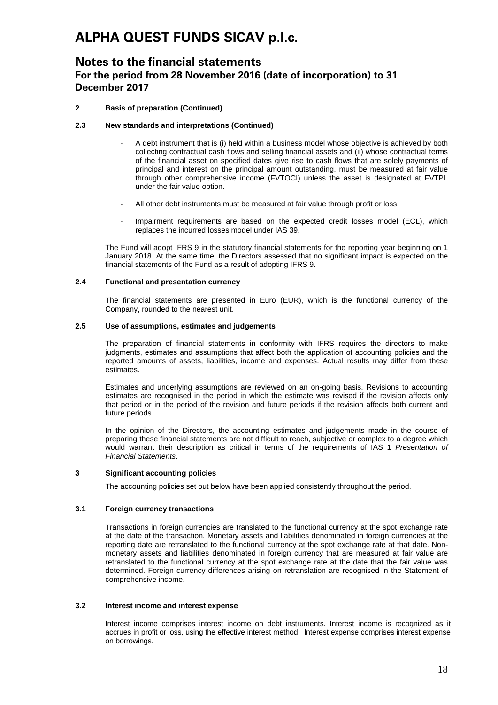## **Notes to the financial statements For the period from 28 November 2016 (date of incorporation) to 31 December 2017**

### **2 Basis of preparation (Continued)**

### **2.3 New standards and interpretations (Continued)**

- A debt instrument that is (i) held within a business model whose objective is achieved by both collecting contractual cash flows and selling financial assets and (ii) whose contractual terms of the financial asset on specified dates give rise to cash flows that are solely payments of principal and interest on the principal amount outstanding, must be measured at fair value through other comprehensive income (FVTOCI) unless the asset is designated at FVTPL under the fair value option.
- All other debt instruments must be measured at fair value through profit or loss.
- Impairment requirements are based on the expected credit losses model (ECL), which replaces the incurred losses model under IAS 39.

The Fund will adopt IFRS 9 in the statutory financial statements for the reporting year beginning on 1 January 2018. At the same time, the Directors assessed that no significant impact is expected on the financial statements of the Fund as a result of adopting IFRS 9.

### **2.4 Functional and presentation currency**

The financial statements are presented in Euro (EUR), which is the functional currency of the Company, rounded to the nearest unit.

### **2.5 Use of assumptions, estimates and judgements**

The preparation of financial statements in conformity with IFRS requires the directors to make judgments, estimates and assumptions that affect both the application of accounting policies and the reported amounts of assets, liabilities, income and expenses. Actual results may differ from these estimates.

Estimates and underlying assumptions are reviewed on an on-going basis. Revisions to accounting estimates are recognised in the period in which the estimate was revised if the revision affects only that period or in the period of the revision and future periods if the revision affects both current and future periods.

In the opinion of the Directors, the accounting estimates and judgements made in the course of preparing these financial statements are not difficult to reach, subjective or complex to a degree which would warrant their description as critical in terms of the requirements of IAS 1 *Presentation of Financial Statements*.

### **3 Significant accounting policies**

The accounting policies set out below have been applied consistently throughout the period.

### **3.1 Foreign currency transactions**

Transactions in foreign currencies are translated to the functional currency at the spot exchange rate at the date of the transaction. Monetary assets and liabilities denominated in foreign currencies at the reporting date are retranslated to the functional currency at the spot exchange rate at that date. Nonmonetary assets and liabilities denominated in foreign currency that are measured at fair value are retranslated to the functional currency at the spot exchange rate at the date that the fair value was determined. Foreign currency differences arising on retranslation are recognised in the Statement of comprehensive income.

### **3.2 Interest income and interest expense**

Interest income comprises interest income on debt instruments. Interest income is recognized as it accrues in profit or loss, using the effective interest method. Interest expense comprises interest expense on borrowings.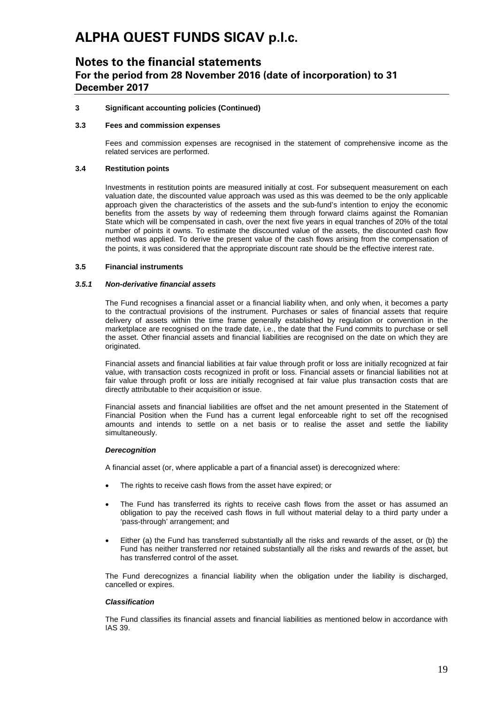## **Notes to the financial statements For the period from 28 November 2016 (date of incorporation) to 31 December 2017**

### **3 Significant accounting policies (Continued)**

### **3.3 Fees and commission expenses**

Fees and commission expenses are recognised in the statement of comprehensive income as the related services are performed.

### **3.4 Restitution points**

Investments in restitution points are measured initially at cost. For subsequent measurement on each valuation date, the discounted value approach was used as this was deemed to be the only applicable approach given the characteristics of the assets and the sub-fund's intention to enjoy the economic benefits from the assets by way of redeeming them through forward claims against the Romanian State which will be compensated in cash, over the next five years in equal tranches of 20% of the total number of points it owns. To estimate the discounted value of the assets, the discounted cash flow method was applied. To derive the present value of the cash flows arising from the compensation of the points, it was considered that the appropriate discount rate should be the effective interest rate.

#### **3.5 Financial instruments**

#### *3.5.1 Non-derivative financial assets*

The Fund recognises a financial asset or a financial liability when, and only when, it becomes a party to the contractual provisions of the instrument. Purchases or sales of financial assets that require delivery of assets within the time frame generally established by regulation or convention in the marketplace are recognised on the trade date, i.e., the date that the Fund commits to purchase or sell the asset. Other financial assets and financial liabilities are recognised on the date on which they are originated.

Financial assets and financial liabilities at fair value through profit or loss are initially recognized at fair value, with transaction costs recognized in profit or loss. Financial assets or financial liabilities not at fair value through profit or loss are initially recognised at fair value plus transaction costs that are directly attributable to their acquisition or issue.

Financial assets and financial liabilities are offset and the net amount presented in the Statement of Financial Position when the Fund has a current legal enforceable right to set off the recognised amounts and intends to settle on a net basis or to realise the asset and settle the liability simultaneously.

#### *Derecognition*

A financial asset (or, where applicable a part of a financial asset) is derecognized where:

- The rights to receive cash flows from the asset have expired; or
- The Fund has transferred its rights to receive cash flows from the asset or has assumed an obligation to pay the received cash flows in full without material delay to a third party under a 'pass-through' arrangement; and
- Either (a) the Fund has transferred substantially all the risks and rewards of the asset, or (b) the Fund has neither transferred nor retained substantially all the risks and rewards of the asset, but has transferred control of the asset.

The Fund derecognizes a financial liability when the obligation under the liability is discharged, cancelled or expires.

#### *Classification*

The Fund classifies its financial assets and financial liabilities as mentioned below in accordance with IAS 39.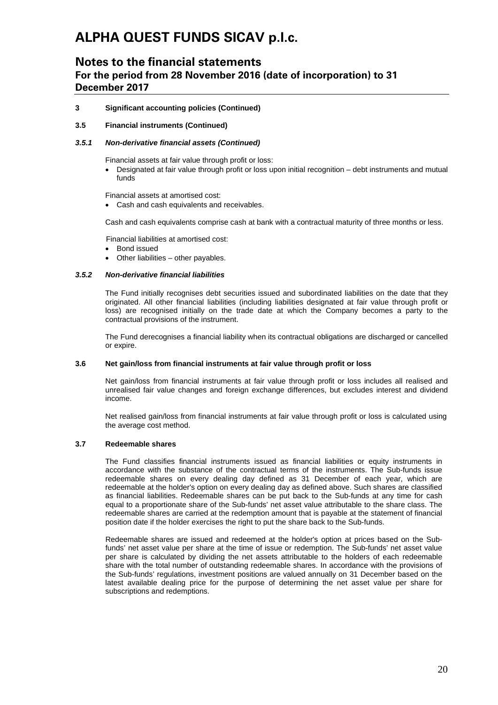## **Notes to the financial statements For the period from 28 November 2016 (date of incorporation) to 31 December 2017**

### **3 Significant accounting policies (Continued)**

### **3.5 Financial instruments (Continued)**

### *3.5.1 Non-derivative financial assets (Continued)*

Financial assets at fair value through profit or loss:

• Designated at fair value through profit or loss upon initial recognition – debt instruments and mutual funds

Financial assets at amortised cost:

• Cash and cash equivalents and receivables.

Cash and cash equivalents comprise cash at bank with a contractual maturity of three months or less.

Financial liabilities at amortised cost:

- Bond issued
- Other liabilities other payables.

### *3.5.2 Non-derivative financial liabilities*

The Fund initially recognises debt securities issued and subordinated liabilities on the date that they originated. All other financial liabilities (including liabilities designated at fair value through profit or loss) are recognised initially on the trade date at which the Company becomes a party to the contractual provisions of the instrument.

The Fund derecognises a financial liability when its contractual obligations are discharged or cancelled or expire.

### **3.6 Net gain/loss from financial instruments at fair value through profit or loss**

Net gain/loss from financial instruments at fair value through profit or loss includes all realised and unrealised fair value changes and foreign exchange differences, but excludes interest and dividend income.

Net realised gain/loss from financial instruments at fair value through profit or loss is calculated using the average cost method.

### **3.7 Redeemable shares**

The Fund classifies financial instruments issued as financial liabilities or equity instruments in accordance with the substance of the contractual terms of the instruments. The Sub-funds issue redeemable shares on every dealing day defined as 31 December of each year, which are redeemable at the holder's option on every dealing day as defined above. Such shares are classified as financial liabilities. Redeemable shares can be put back to the Sub-funds at any time for cash equal to a proportionate share of the Sub-funds' net asset value attributable to the share class. The redeemable shares are carried at the redemption amount that is payable at the statement of financial position date if the holder exercises the right to put the share back to the Sub-funds.

Redeemable shares are issued and redeemed at the holder's option at prices based on the Subfunds' net asset value per share at the time of issue or redemption. The Sub-funds' net asset value per share is calculated by dividing the net assets attributable to the holders of each redeemable share with the total number of outstanding redeemable shares. In accordance with the provisions of the Sub-funds' regulations, investment positions are valued annually on 31 December based on the latest available dealing price for the purpose of determining the net asset value per share for subscriptions and redemptions.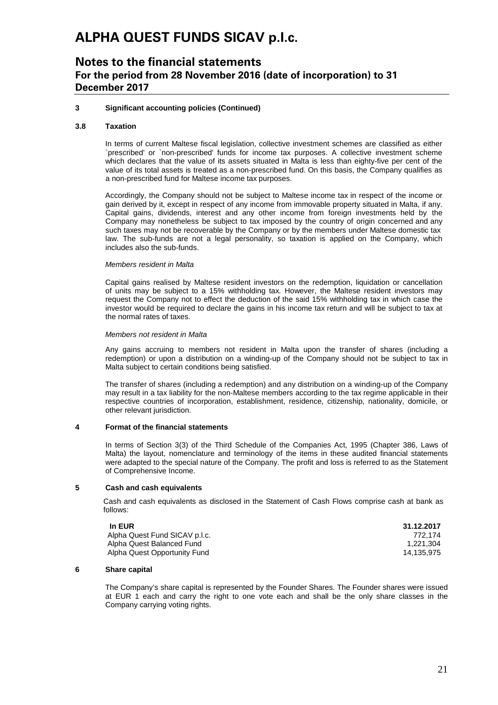## **Notes to the financial statements For the period from 28 November 2016 (date of incorporation) to 31 December 2017**

### **3 Significant accounting policies (Continued)**

#### **3.8 Taxation**

In terms of current Maltese fiscal legislation, collective investment schemes are classified as either `prescribed' or `non-prescribed' funds for income tax purposes. A collective investment scheme which declares that the value of its assets situated in Malta is less than eighty-five per cent of the value of its total assets is treated as a non-prescribed fund. On this basis, the Company qualifies as a non-prescribed fund for Maltese income tax purposes.

Accordingly, the Company should not be subject to Maltese income tax in respect of the income or gain derived by it, except in respect of any income from immovable property situated in Malta, if any. Capital gains, dividends, interest and any other income from foreign investments held by the Company may nonetheless be subject to tax imposed by the country of origin concerned and any such taxes may not be recoverable by the Company or by the members under Maltese domestic tax law. The sub-funds are not a legal personality, so taxation is applied on the Company, which includes also the sub-funds.

#### *Members resident in Malta*

Capital gains realised by Maltese resident investors on the redemption, liquidation or cancellation of units may be subject to a 15% withholding tax. However, the Maltese resident investors may request the Company not to effect the deduction of the said 15% withholding tax in which case the investor would be required to declare the gains in his income tax return and will be subject to tax at the normal rates of taxes.

#### *Members not resident in Malta*

Any gains accruing to members not resident in Malta upon the transfer of shares (including a redemption) or upon a distribution on a winding-up of the Company should not be subject to tax in Malta subject to certain conditions being satisfied.

The transfer of shares (including a redemption) and any distribution on a winding-up of the Company may result in a tax liability for the non-Maltese members according to the tax regime applicable in their respective countries of incorporation, establishment, residence, citizenship, nationality, domicile, or other relevant jurisdiction.

#### **4 Format of the financial statements**

In terms of Section 3(3) of the Third Schedule of the Companies Act, 1995 (Chapter 386, Laws of Malta) the layout, nomenclature and terminology of the items in these audited financial statements were adapted to the special nature of the Company. The profit and loss is referred to as the Statement of Comprehensive Income.

### **5 Cash and cash equivalents**

Cash and cash equivalents as disclosed in the Statement of Cash Flows comprise cash at bank as follows:

| In EUR                        | 31.12.2017 |
|-------------------------------|------------|
| Alpha Quest Fund SICAV p.l.c. | 772.174    |
| Alpha Quest Balanced Fund     | 1.221.304  |
| Alpha Quest Opportunity Fund  | 14.135.975 |

#### **6 Share capital**

The Company's share capital is represented by the Founder Shares. The Founder shares were issued at EUR 1 each and carry the right to one vote each and shall be the only share classes in the Company carrying voting rights.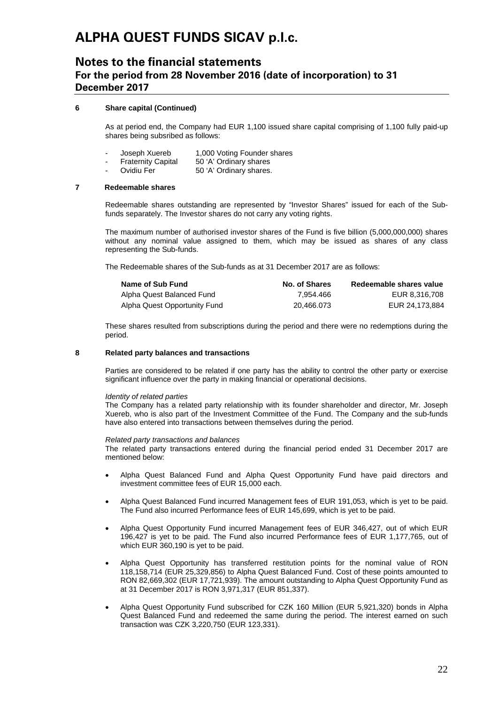## **Notes to the financial statements For the period from 28 November 2016 (date of incorporation) to 31 December 2017**

### **6 Share capital (Continued)**

As at period end, the Company had EUR 1,100 issued share capital comprising of 1,100 fully paid-up shares being subsribed as follows:

- Joseph Xuereb 1,000 Voting Founder shares<br>Fraternity Capital 50 'A' Ordinary shares
- Fraternity Capital 50 'A' Ordinary shares<br>
Ovidiu Fer 50 'A' Ordinary shares
	- 50 'A' Ordinary shares.

### **7 Redeemable shares**

Redeemable shares outstanding are represented by "Investor Shares" issued for each of the Subfunds separately. The Investor shares do not carry any voting rights.

The maximum number of authorised investor shares of the Fund is five billion (5,000,000,000) shares without any nominal value assigned to them, which may be issued as shares of any class representing the Sub-funds.

The Redeemable shares of the Sub-funds as at 31 December 2017 are as follows:

| Name of Sub Fund             | No. of Shares | Redeemable shares value |
|------------------------------|---------------|-------------------------|
| Alpha Quest Balanced Fund    | 7.954.466     | EUR 8.316.708           |
| Alpha Quest Opportunity Fund | 20.466.073    | EUR 24.173.884          |

These shares resulted from subscriptions during the period and there were no redemptions during the period.

### **8 Related party balances and transactions**

Parties are considered to be related if one party has the ability to control the other party or exercise significant influence over the party in making financial or operational decisions.

#### *Identity of related parties*

The Company has a related party relationship with its founder shareholder and director, Mr. Joseph Xuereb, who is also part of the Investment Committee of the Fund. The Company and the sub-funds have also entered into transactions between themselves during the period.

#### *Related party transactions and balances*

The related party transactions entered during the financial period ended 31 December 2017 are mentioned below:

- Alpha Quest Balanced Fund and Alpha Quest Opportunity Fund have paid directors and investment committee fees of EUR 15,000 each.
- Alpha Quest Balanced Fund incurred Management fees of EUR 191,053, which is yet to be paid. The Fund also incurred Performance fees of EUR 145,699, which is yet to be paid.
- Alpha Quest Opportunity Fund incurred Management fees of EUR 346,427, out of which EUR 196,427 is yet to be paid. The Fund also incurred Performance fees of EUR 1,177,765, out of which EUR 360,190 is yet to be paid.
- Alpha Quest Opportunity has transferred restitution points for the nominal value of RON 118,158,714 (EUR 25,329,856) to Alpha Quest Balanced Fund. Cost of these points amounted to RON 82,669,302 (EUR 17,721,939). The amount outstanding to Alpha Quest Opportunity Fund as at 31 December 2017 is RON 3,971,317 (EUR 851,337).
- Alpha Quest Opportunity Fund subscribed for CZK 160 Million (EUR 5,921,320) bonds in Alpha Quest Balanced Fund and redeemed the same during the period. The interest earned on such transaction was CZK 3,220,750 (EUR 123,331).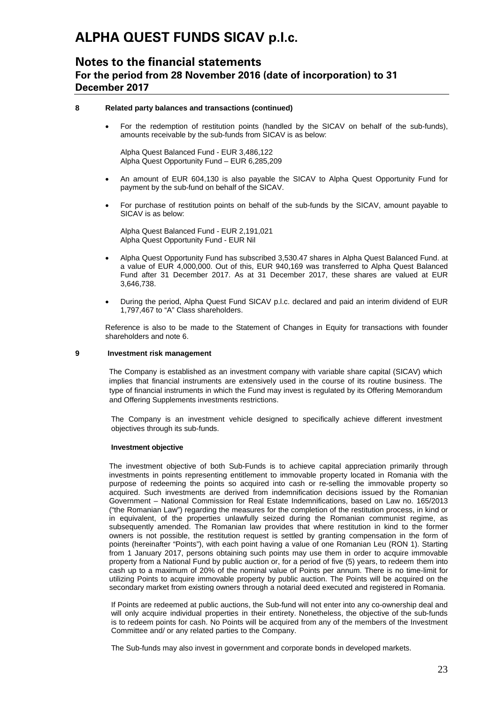## **Notes to the financial statements For the period from 28 November 2016 (date of incorporation) to 31 December 2017**

### **8 Related party balances and transactions (continued)**

• For the redemption of restitution points (handled by the SICAV on behalf of the sub-funds), amounts receivable by the sub-funds from SICAV is as below:

Alpha Quest Balanced Fund - EUR 3,486,122 Alpha Quest Opportunity Fund – EUR 6,285,209

- An amount of EUR 604,130 is also payable the SICAV to Alpha Quest Opportunity Fund for payment by the sub-fund on behalf of the SICAV.
- For purchase of restitution points on behalf of the sub-funds by the SICAV, amount payable to SICAV is as below:

Alpha Quest Balanced Fund - EUR 2,191,021 Alpha Quest Opportunity Fund - EUR Nil

- Alpha Quest Opportunity Fund has subscribed 3,530.47 shares in Alpha Quest Balanced Fund. at a value of EUR 4,000,000. Out of this, EUR 940,169 was transferred to Alpha Quest Balanced Fund after 31 December 2017. As at 31 December 2017, these shares are valued at EUR 3,646,738.
- During the period, Alpha Quest Fund SICAV p.l.c. declared and paid an interim dividend of EUR 1,797,467 to "A" Class shareholders.

Reference is also to be made to the Statement of Changes in Equity for transactions with founder shareholders and note 6.

### **9 Investment risk management**

The Company is established as an investment company with variable share capital (SICAV) which implies that financial instruments are extensively used in the course of its routine business. The type of financial instruments in which the Fund may invest is regulated by its Offering Memorandum and Offering Supplements investments restrictions.

The Company is an investment vehicle designed to specifically achieve different investment objectives through its sub-funds.

#### **Investment objective**

The investment objective of both Sub-Funds is to achieve capital appreciation primarily through investments in points representing entitlement to immovable property located in Romania with the purpose of redeeming the points so acquired into cash or re-selling the immovable property so acquired. Such investments are derived from indemnification decisions issued by the Romanian Government – National Commission for Real Estate Indemnifications, based on Law no. 165/2013 ("the Romanian Law") regarding the measures for the completion of the restitution process, in kind or in equivalent, of the properties unlawfully seized during the Romanian communist regime, as subsequently amended. The Romanian law provides that where restitution in kind to the former owners is not possible, the restitution request is settled by granting compensation in the form of points (hereinafter "Points"), with each point having a value of one Romanian Leu (RON 1). Starting from 1 January 2017, persons obtaining such points may use them in order to acquire immovable property from a National Fund by public auction or, for a period of five (5) years, to redeem them into cash up to a maximum of 20% of the nominal value of Points per annum. There is no time-limit for utilizing Points to acquire immovable property by public auction. The Points will be acquired on the secondary market from existing owners through a notarial deed executed and registered in Romania.

If Points are redeemed at public auctions, the Sub-fund will not enter into any co-ownership deal and will only acquire individual properties in their entirety. Nonetheless, the objective of the sub-funds is to redeem points for cash. No Points will be acquired from any of the members of the Investment Committee and/ or any related parties to the Company.

The Sub-funds may also invest in government and corporate bonds in developed markets.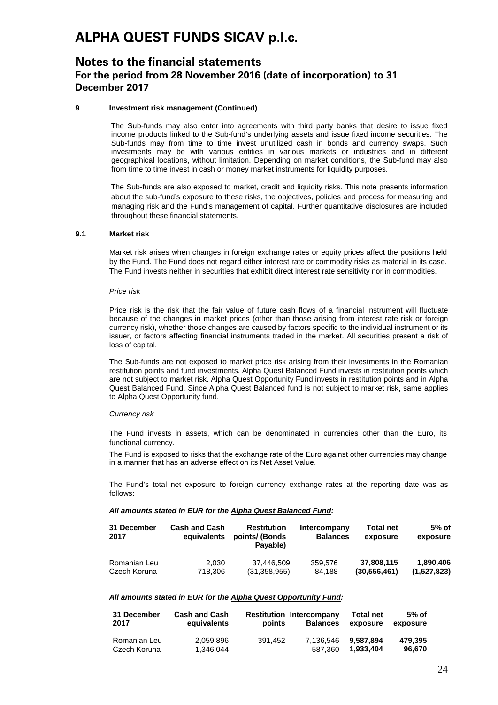## **Notes to the financial statements For the period from 28 November 2016 (date of incorporation) to 31 December 2017**

### **9 Investment risk management (Continued)**

The Sub-funds may also enter into agreements with third party banks that desire to issue fixed income products linked to the Sub-fund's underlying assets and issue fixed income securities. The Sub-funds may from time to time invest unutilized cash in bonds and currency swaps. Such investments may be with various entities in various markets or industries and in different geographical locations, without limitation. Depending on market conditions, the Sub-fund may also from time to time invest in cash or money market instruments for liquidity purposes.

The Sub-funds are also exposed to market, credit and liquidity risks. This note presents information about the sub-fund's exposure to these risks, the objectives, policies and process for measuring and managing risk and the Fund's management of capital. Further quantitative disclosures are included throughout these financial statements.

### **9.1 Market risk**

Market risk arises when changes in foreign exchange rates or equity prices affect the positions held by the Fund. The Fund does not regard either interest rate or commodity risks as material in its case. The Fund invests neither in securities that exhibit direct interest rate sensitivity nor in commodities.

#### *Price risk*

Price risk is the risk that the fair value of future cash flows of a financial instrument will fluctuate because of the changes in market prices (other than those arising from interest rate risk or foreign currency risk), whether those changes are caused by factors specific to the individual instrument or its issuer, or factors affecting financial instruments traded in the market. All securities present a risk of loss of capital.

The Sub-funds are not exposed to market price risk arising from their investments in the Romanian restitution points and fund investments. Alpha Quest Balanced Fund invests in restitution points which are not subject to market risk. Alpha Quest Opportunity Fund invests in restitution points and in Alpha Quest Balanced Fund. Since Alpha Quest Balanced fund is not subject to market risk, same applies to Alpha Quest Opportunity fund.

#### *Currency risk*

The Fund invests in assets, which can be denominated in currencies other than the Euro, its functional currency.

The Fund is exposed to risks that the exchange rate of the Euro against other currencies may change in a manner that has an adverse effect on its Net Asset Value.

The Fund's total net exposure to foreign currency exchange rates at the reporting date was as follows:

### *All amounts stated in EUR for the Alpha Quest Balanced Fund:*

| 31 December<br>2017 | <b>Cash and Cash</b><br>equivalents | <b>Restitution</b><br>points/ (Bonds)<br>Pavable) | Intercompany<br><b>Balances</b> | <b>Total net</b><br>exposure | $5%$ of<br>exposure |
|---------------------|-------------------------------------|---------------------------------------------------|---------------------------------|------------------------------|---------------------|
| Romanian Leu        | 2.030                               | 37.446.509                                        | 359.576                         | 37,808,115                   | 1.890.406           |
| Czech Koruna        | 718.306                             | (31, 358, 955)                                    | 84.188                          | (30, 556, 461)               | (1,527,823)         |

### *All amounts stated in EUR for the Alpha Quest Opportunity Fund:*

| 31 December  | <b>Cash and Cash</b> | points                   | <b>Restitution Intercompany</b> | <b>Total net</b> | $5%$ of  |
|--------------|----------------------|--------------------------|---------------------------------|------------------|----------|
| 2017         | equivalents          |                          | <b>Balances</b>                 | exposure         | exposure |
| Romanian Leu | 2.059.896            | 391.452                  | 7.136.546                       | 9.587.894        | 479.395  |
| Czech Koruna | 1.346.044            | $\overline{\phantom{a}}$ | 587.360                         | 1.933.404        | 96.670   |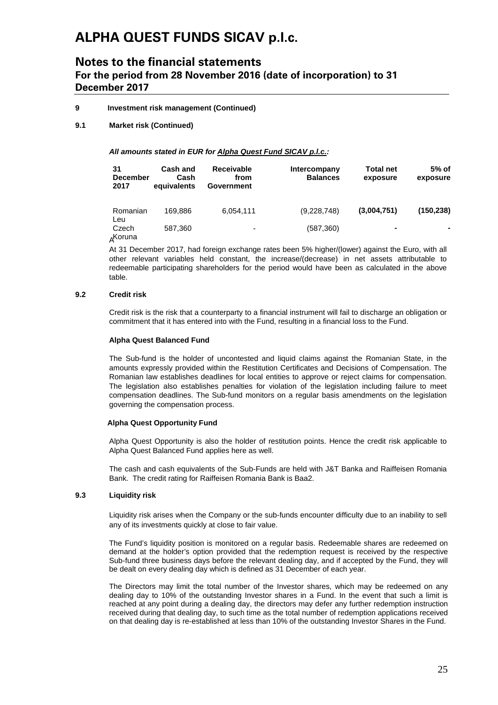## **Notes to the financial statements For the period from 28 November 2016 (date of incorporation) to 31 December 2017**

### **9 Investment risk management (Continued)**

**9.1 Market risk (Continued)**

### *All amounts stated in EUR for Alpha Quest Fund SICAV p.l.c.:*

| 31<br><b>December</b><br>2017 | <b>Cash and</b><br>Cash<br>equivalents | <b>Receivable</b><br>from<br>Government | Intercompany<br><b>Balances</b> | <b>Total net</b><br>exposure | $5%$ of<br>exposure |
|-------------------------------|----------------------------------------|-----------------------------------------|---------------------------------|------------------------------|---------------------|
| Romanian<br>Leu               | 169.886                                | 6,054,111                               | (9,228,748)                     | (3,004,751)                  | (150, 238)          |
| Czech<br>AKoruna              | 587,360                                | -                                       | (587,360)                       | $\blacksquare$               |                     |

At 31 December 2017, had foreign exchange rates been 5% higher/(lower) against the Euro, with all other relevant variables held constant, the increase/(decrease) in net assets attributable to redeemable participating shareholders for the period would have been as calculated in the above table.

### **9.2 Credit risk**

Credit risk is the risk that a counterparty to a financial instrument will fail to discharge an obligation or commitment that it has entered into with the Fund, resulting in a financial loss to the Fund.

### **Alpha Quest Balanced Fund**

The Sub-fund is the holder of uncontested and liquid claims against the Romanian State, in the amounts expressly provided within the Restitution Certificates and Decisions of Compensation. The Romanian law establishes deadlines for local entities to approve or reject claims for compensation. The legislation also establishes penalties for violation of the legislation including failure to meet compensation deadlines. The Sub-fund monitors on a regular basis amendments on the legislation governing the compensation process.

### **Alpha Quest Opportunity Fund**

Alpha Quest Opportunity is also the holder of restitution points. Hence the credit risk applicable to Alpha Quest Balanced Fund applies here as well.

The cash and cash equivalents of the Sub-Funds are held with J&T Banka and Raiffeisen Romania Bank. The credit rating for Raiffeisen Romania Bank is Baa2.

### **9.3 Liquidity risk**

Liquidity risk arises when the Company or the sub-funds encounter difficulty due to an inability to sell any of its investments quickly at close to fair value.

The Fund's liquidity position is monitored on a regular basis. Redeemable shares are redeemed on demand at the holder's option provided that the redemption request is received by the respective Sub-fund three business days before the relevant dealing day, and if accepted by the Fund, they will be dealt on every dealing day which is defined as 31 December of each year.

The Directors may limit the total number of the Investor shares, which may be redeemed on any dealing day to 10% of the outstanding Investor shares in a Fund. In the event that such a limit is reached at any point during a dealing day, the directors may defer any further redemption instruction received during that dealing day, to such time as the total number of redemption applications received on that dealing day is re-established at less than 10% of the outstanding Investor Shares in the Fund.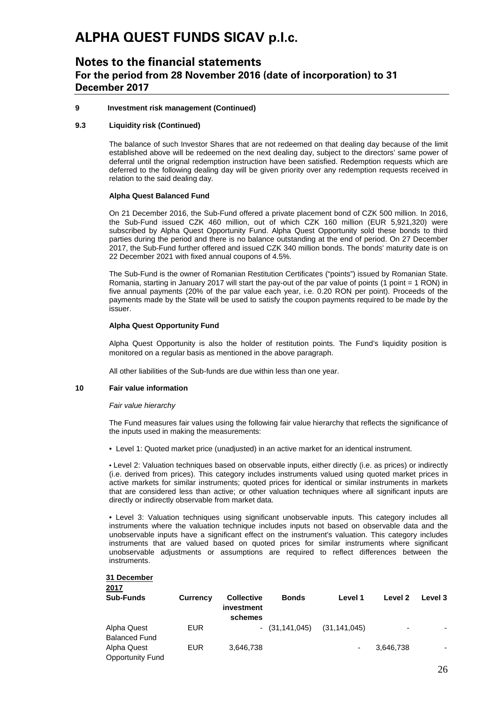## **Notes to the financial statements For the period from 28 November 2016 (date of incorporation) to 31 December 2017**

### **9 Investment risk management (Continued)**

### **9.3 Liquidity risk (Continued)**

The balance of such Investor Shares that are not redeemed on that dealing day because of the limit established above will be redeemed on the next dealing day, subject to the directors' same power of deferral until the orignal redemption instruction have been satisfied. Redemption requests which are deferred to the following dealing day will be given priority over any redemption requests received in relation to the said dealing day.

### **Alpha Quest Balanced Fund**

On 21 December 2016, the Sub-Fund offered a private placement bond of CZK 500 million. In 2016, the Sub-Fund issued CZK 460 million, out of which CZK 160 million (EUR 5,921,320) were subscribed by Alpha Quest Opportunity Fund. Alpha Quest Opportunity sold these bonds to third parties during the period and there is no balance outstanding at the end of period. On 27 December 2017, the Sub-Fund further offered and issued CZK 340 million bonds. The bonds' maturity date is on 22 December 2021 with fixed annual coupons of 4.5%.

The Sub-Fund is the owner of Romanian Restitution Certificates ("points") issued by Romanian State. Romania, starting in January 2017 will start the pay-out of the par value of points (1 point = 1 RON) in five annual payments (20% of the par value each year, i.e. 0.20 RON per point). Proceeds of the payments made by the State will be used to satisfy the coupon payments required to be made by the issuer.

### **Alpha Quest Opportunity Fund**

Alpha Quest Opportunity is also the holder of restitution points. The Fund's liquidity position is monitored on a regular basis as mentioned in the above paragraph.

All other liabilities of the Sub-funds are due within less than one year.

### **10 Fair value information**

### *Fair value hierarchy*

The Fund measures fair values using the following fair value hierarchy that reflects the significance of the inputs used in making the measurements:

• Level 1: Quoted market price (unadjusted) in an active market for an identical instrument.

• Level 2: Valuation techniques based on observable inputs, either directly (i.e. as prices) or indirectly (i.e. derived from prices). This category includes instruments valued using quoted market prices in active markets for similar instruments; quoted prices for identical or similar instruments in markets that are considered less than active; or other valuation techniques where all significant inputs are directly or indirectly observable from market data.

• Level 3: Valuation techniques using significant unobservable inputs. This category includes all instruments where the valuation technique includes inputs not based on observable data and the unobservable inputs have a significant effect on the instrument's valuation. This category includes instruments that are valued based on quoted prices for similar instruments where significant unobservable adjustments or assumptions are required to reflect differences between the instruments.

#### **31 December 2017**

| $\sim$ $\sim$ $\sim$<br><b>Sub-Funds</b> | <b>Currency</b> | <b>Collective</b><br>investment<br>schemes | <b>Bonds</b>     | Level 1        | Level 2                  | Level 3 |
|------------------------------------------|-----------------|--------------------------------------------|------------------|----------------|--------------------------|---------|
| Alpha Quest<br><b>Balanced Fund</b>      | <b>EUR</b>      |                                            | $-$ (31,141,045) | (31, 141, 045) | $\overline{\phantom{0}}$ |         |
| Alpha Quest<br><b>Opportunity Fund</b>   | EUR             | 3,646,738                                  |                  | ۰              | 3,646,738                |         |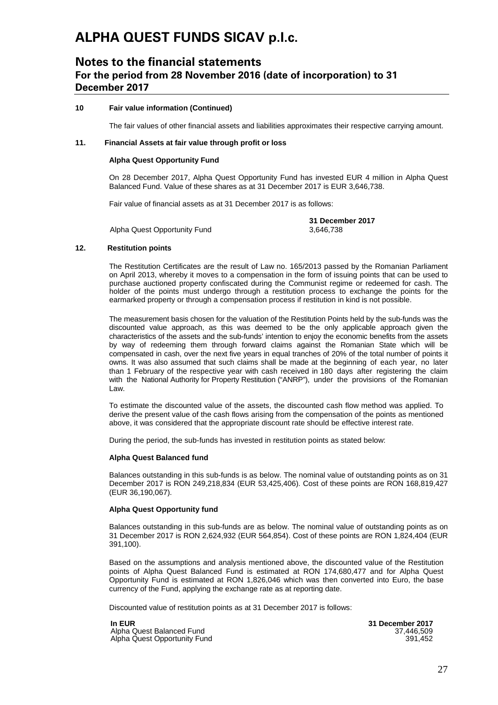## **Notes to the financial statements For the period from 28 November 2016 (date of incorporation) to 31 December 2017**

### **10 Fair value information (Continued)**

The fair values of other financial assets and liabilities approximates their respective carrying amount.

### **11. Financial Assets at fair value through profit or loss**

### **Alpha Quest Opportunity Fund**

On 28 December 2017, Alpha Quest Opportunity Fund has invested EUR 4 million in Alpha Quest Balanced Fund. Value of these shares as at 31 December 2017 is EUR 3,646,738.

Fair value of financial assets as at 31 December 2017 is as follows:

Alpha Quest Opportunity Fund

**31 December 2017**

#### **12. Restitution points**

The Restitution Certificates are the result of Law no. 165/2013 passed by the Romanian Parliament on April 2013, whereby it moves to a compensation in the form of issuing points that can be used to purchase auctioned property confiscated during the Communist regime or redeemed for cash. The holder of the points must undergo through a restitution process to exchange the points for the earmarked property or through a compensation process if restitution in kind is not possible.

The measurement basis chosen for the valuation of the Restitution Points held by the sub-funds was the discounted value approach, as this was deemed to be the only applicable approach given the characteristics of the assets and the sub-funds' intention to enjoy the economic benefits from the assets by way of redeeming them through forward claims against the Romanian State which will be compensated in cash, over the next five years in equal tranches of 20% of the total number of points it owns. It was also assumed that such claims shall be made at the beginning of each year, no later than 1 February of the respective year with cash received in 180 days after registering the claim with the National Authority for Property Restitution ("ANRP"), under the provisions of the Romanian Law.

To estimate the discounted value of the assets, the discounted cash flow method was applied. To derive the present value of the cash flows arising from the compensation of the points as mentioned above, it was considered that the appropriate discount rate should be effective interest rate.

During the period, the sub-funds has invested in restitution points as stated below:

#### **Alpha Quest Balanced fund**

Balances outstanding in this sub-funds is as below. The nominal value of outstanding points as on 31 December 2017 is RON 249,218,834 (EUR 53,425,406). Cost of these points are RON 168,819,427 (EUR 36,190,067).

#### **Alpha Quest Opportunity fund**

Balances outstanding in this sub-funds are as below. The nominal value of outstanding points as on 31 December 2017 is RON 2,624,932 (EUR 564,854). Cost of these points are RON 1,824,404 (EUR 391,100).

Based on the assumptions and analysis mentioned above, the discounted value of the Restitution points of Alpha Quest Balanced Fund is estimated at RON 174,680,477 and for Alpha Quest Opportunity Fund is estimated at RON 1,826,046 which was then converted into Euro, the base currency of the Fund, applying the exchange rate as at reporting date.

Discounted value of restitution points as at 31 December 2017 is follows:

**In EUR 31 December 2017** Alpha Quest Balanced Fund 37,446,509 Alpha Quest Opportunity Fund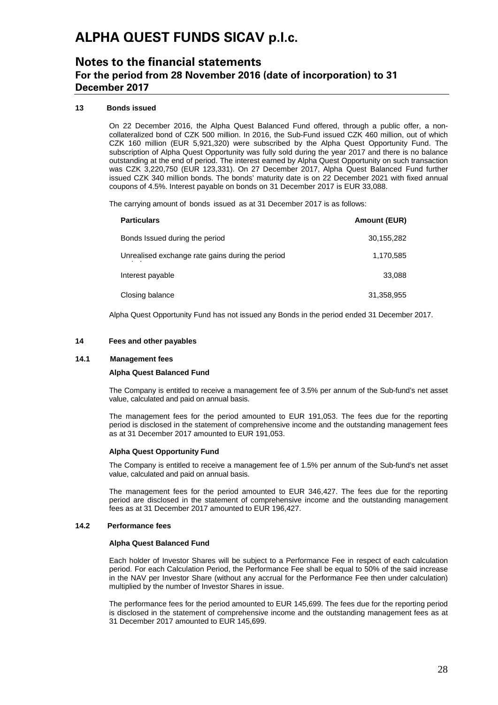## **Notes to the financial statements For the period from 28 November 2016 (date of incorporation) to 31 December 2017**

### **13 Bonds issued**

On 22 December 2016, the Alpha Quest Balanced Fund offered, through a public offer, a noncollateralized bond of CZK 500 million. In 2016, the Sub-Fund issued CZK 460 million, out of which CZK 160 million (EUR 5,921,320) were subscribed by the Alpha Quest Opportunity Fund. The subscription of Alpha Quest Opportunity was fully sold during the year 2017 and there is no balance outstanding at the end of period. The interest earned by Alpha Quest Opportunity on such transaction was CZK 3,220,750 (EUR 123,331). On 27 December 2017, Alpha Quest Balanced Fund further issued CZK 340 million bonds. The bonds' maturity date is on 22 December 2021 with fixed annual coupons of 4.5%. Interest payable on bonds on 31 December 2017 is EUR 33,088.

The carrying amount of bonds issued as at 31 December 2017 is as follows:

| <b>Particulars</b>                               | <b>Amount (EUR)</b> |
|--------------------------------------------------|---------------------|
| Bonds Issued during the period                   | 30,155,282          |
| Unrealised exchange rate gains during the period | 1,170,585           |
| Interest payable                                 | 33,088              |
| Closing balance                                  | 31,358,955          |

Alpha Quest Opportunity Fund has not issued any Bonds in the period ended 31 December 2017.

#### **14 Fees and other payables**

#### **14.1 Management fees**

#### **Alpha Quest Balanced Fund**

The Company is entitled to receive a management fee of 3.5% per annum of the Sub-fund's net asset value, calculated and paid on annual basis.

The management fees for the period amounted to EUR 191,053. The fees due for the reporting period is disclosed in the statement of comprehensive income and the outstanding management fees as at 31 December 2017 amounted to EUR 191,053.

### **Alpha Quest Opportunity Fund**

The Company is entitled to receive a management fee of 1.5% per annum of the Sub-fund's net asset value, calculated and paid on annual basis.

The management fees for the period amounted to EUR 346,427. The fees due for the reporting period are disclosed in the statement of comprehensive income and the outstanding management fees as at 31 December 2017 amounted to EUR 196,427.

### **14.2 Performance fees**

#### **Alpha Quest Balanced Fund**

Each holder of Investor Shares will be subject to a Performance Fee in respect of each calculation period. For each Calculation Period, the Performance Fee shall be equal to 50% of the said increase in the NAV per Investor Share (without any accrual for the Performance Fee then under calculation) multiplied by the number of Investor Shares in issue.

The performance fees for the period amounted to EUR 145,699. The fees due for the reporting period is disclosed in the statement of comprehensive income and the outstanding management fees as at 31 December 2017 amounted to EUR 145,699.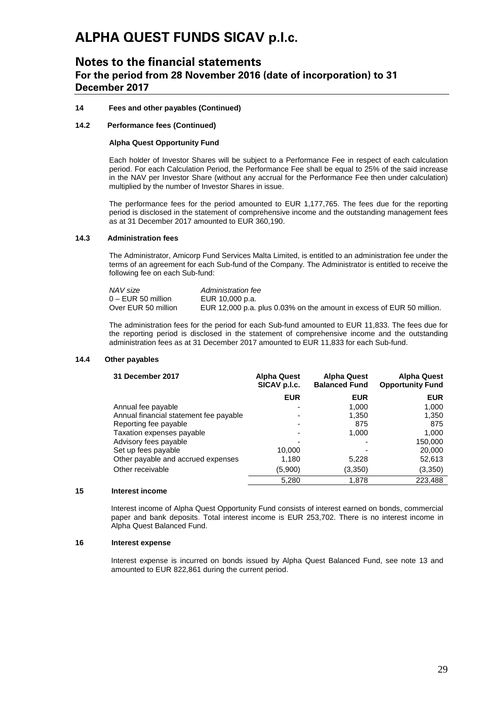## **Notes to the financial statements For the period from 28 November 2016 (date of incorporation) to 31 December 2017**

### **14 Fees and other payables (Continued)**

### **14.2 Performance fees (Continued)**

### **Alpha Quest Opportunity Fund**

Each holder of Investor Shares will be subject to a Performance Fee in respect of each calculation period. For each Calculation Period, the Performance Fee shall be equal to 25% of the said increase in the NAV per Investor Share (without any accrual for the Performance Fee then under calculation) multiplied by the number of Investor Shares in issue.

The performance fees for the period amounted to EUR 1,177,765. The fees due for the reporting period is disclosed in the statement of comprehensive income and the outstanding management fees as at 31 December 2017 amounted to EUR 360,190.

### **14.3 Administration fees**

The Administrator, Amicorp Fund Services Malta Limited, is entitled to an administration fee under the terms of an agreement for each Sub-fund of the Company. The Administrator is entitled to receive the following fee on each Sub-fund:

| NAV size             | Administration fee                                                    |
|----------------------|-----------------------------------------------------------------------|
| $0 - EUR 50$ million | EUR 10,000 p.a.                                                       |
| Over EUR 50 million  | EUR 12,000 p.a. plus 0.03% on the amount in excess of EUR 50 million. |

The administration fees for the period for each Sub-fund amounted to EUR 11,833. The fees due for the reporting period is disclosed in the statement of comprehensive income and the outstanding administration fees as at 31 December 2017 amounted to EUR 11,833 for each Sub-fund.

### **14.4 Other payables**

| 31 December 2017                       | <b>Alpha Quest</b><br>SICAV p.l.c. | <b>Alpha Quest</b><br><b>Balanced Fund</b> | <b>Alpha Quest</b><br><b>Opportunity Fund</b> |
|----------------------------------------|------------------------------------|--------------------------------------------|-----------------------------------------------|
|                                        | <b>EUR</b>                         | <b>EUR</b>                                 | <b>EUR</b>                                    |
| Annual fee payable                     |                                    | 1,000                                      | 1,000                                         |
| Annual financial statement fee payable |                                    | 1,350                                      | 1,350                                         |
| Reporting fee payable                  |                                    | 875                                        | 875                                           |
| Taxation expenses payable              |                                    | 1.000                                      | 1,000                                         |
| Advisory fees payable                  |                                    |                                            | 150,000                                       |
| Set up fees payable                    | 10,000                             |                                            | 20,000                                        |
| Other payable and accrued expenses     | 1,180                              | 5,228                                      | 52,613                                        |
| Other receivable                       | (5,900)                            | (3,350)                                    | (3,350)                                       |
|                                        | 5.280                              | 1,878                                      | 223.488                                       |

### **15 Interest income**

Interest income of Alpha Quest Opportunity Fund consists of interest earned on bonds, commercial paper and bank deposits. Total interest income is EUR 253,702. There is no interest income in Alpha Quest Balanced Fund.

### **16 Interest expense**

Interest expense is incurred on bonds issued by Alpha Quest Balanced Fund, see note 13 and amounted to EUR 822,861 during the current period.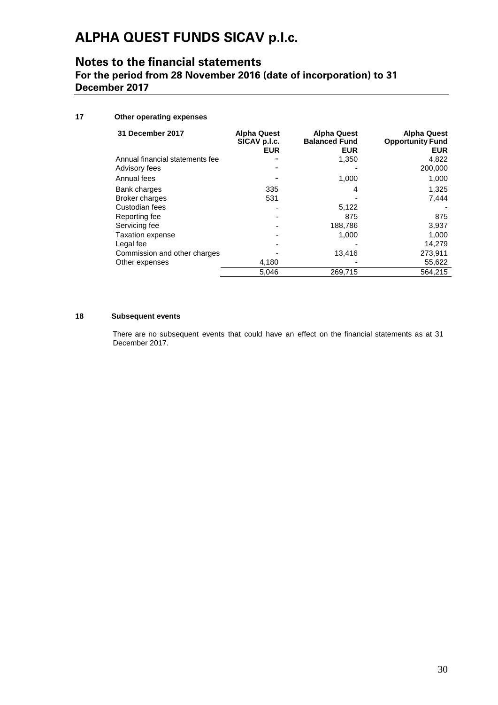## **Notes to the financial statements For the period from 28 November 2016 (date of incorporation) to 31 December 2017**

## **17 Other operating expenses**

| 31 December 2017                | <b>Alpha Quest</b><br>SICAV p.l.c.<br><b>EUR</b> | <b>Alpha Quest</b><br><b>Balanced Fund</b><br><b>EUR</b> | <b>Alpha Quest</b><br><b>Opportunity Fund</b><br><b>EUR</b> |
|---------------------------------|--------------------------------------------------|----------------------------------------------------------|-------------------------------------------------------------|
| Annual financial statements fee |                                                  | 1,350                                                    | 4,822                                                       |
| Advisory fees                   |                                                  |                                                          | 200,000                                                     |
| Annual fees                     |                                                  | 1,000                                                    | 1,000                                                       |
| Bank charges                    | 335                                              | 4                                                        | 1.325                                                       |
| <b>Broker charges</b>           | 531                                              |                                                          | 7,444                                                       |
| Custodian fees                  |                                                  | 5,122                                                    |                                                             |
| Reporting fee                   |                                                  | 875                                                      | 875                                                         |
| Servicing fee                   |                                                  | 188,786                                                  | 3,937                                                       |
| <b>Taxation expense</b>         |                                                  | 1.000                                                    | 1.000                                                       |
| Legal fee                       |                                                  |                                                          | 14,279                                                      |
| Commission and other charges    |                                                  | 13,416                                                   | 273,911                                                     |
| Other expenses                  | 4,180                                            |                                                          | 55,622                                                      |
|                                 | 5,046                                            | 269,715                                                  | 564,215                                                     |

### **18 Subsequent events**

There are no subsequent events that could have an effect on the financial statements as at 31 December 2017.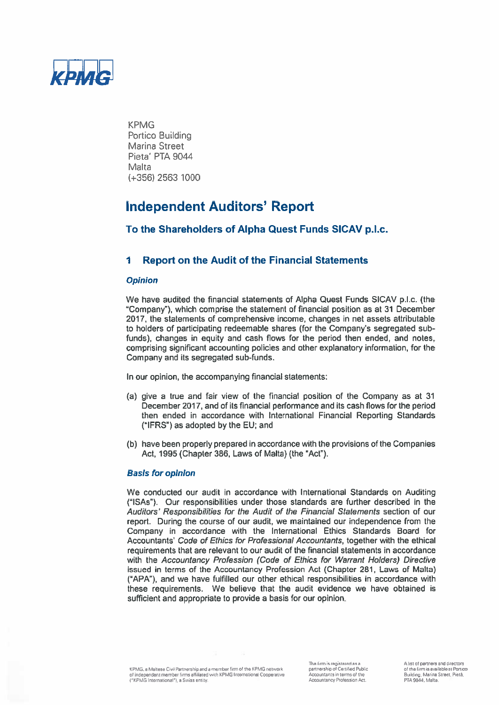

# **Independent Auditors' Report**

## To the Shareholders of Alpha Quest Funds SICAV p.l.c.

#### 1 **Report on the Audit of the Financial Statements**

### **Opinion**

We have audited the financial statements of Alpha Quest Funds SICAV p.l.c. (the "Company"), which comprise the statement of financial position as at 31 December 2017, the statements of comprehensive income, changes in net assets attributable to holders of participating redeemable shares (for the Company's segregated subfunds), changes in equity and cash flows for the period then ended, and notes, comprising significant accounting policies and other explanatory information, for the Company and its segregated sub-funds.

In our opinion, the accompanying financial statements:

- (a) give a true and fair view of the financial position of the Company as at 31 December 2017, and of its financial performance and its cash flows for the period then ended in accordance with International Financial Reporting Standards ("IFRS") as adopted by the EU; and
- (b) have been properly prepared in accordance with the provisions of the Companies Act, 1995 (Chapter 386, Laws of Malta) (the "Act").

### **Basis for opinion**

We conducted our audit in accordance with International Standards on Auditing ("ISAs"). Our responsibilities under those standards are further described in the Auditors' Responsibilities for the Audit of the Financial Statements section of our report. During the course of our audit, we maintained our independence from the Company in accordance with the International Ethics Standards Board for Accountants' Code of Ethics for Professional Accountants, together with the ethical requirements that are relevant to our audit of the financial statements in accordance with the Accountancy Profession (Code of Ethics for Warrant Holders) Directive issued in terms of the Accountancy Profession Act (Chapter 281, Laws of Malta) ("APA"), and we have fulfilled our other ethical responsibilities in accordance with these requirements. We believe that the audit evidence we have obtained is sufficient and appropriate to provide a basis for our opinion.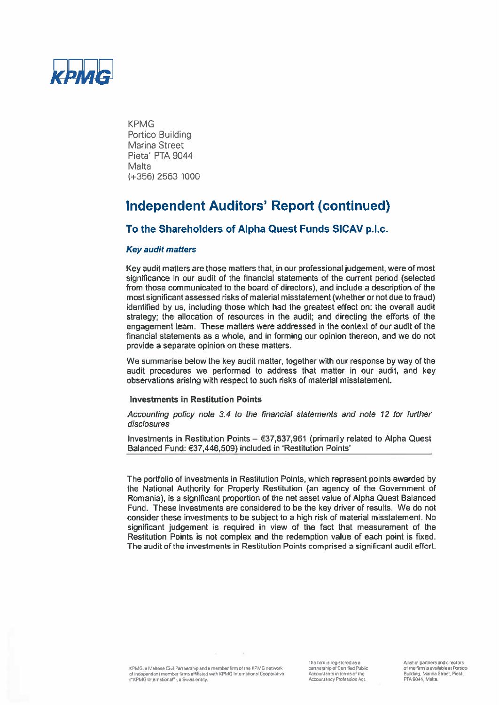

# **Independent Auditors' Report (continued)**

## To the Shareholders of Alpha Quest Funds SICAV p.l.c.

### **Key audit matters**

Key audit matters are those matters that, in our professional judgement, were of most significance in our audit of the financial statements of the current period (selected from those communicated to the board of directors), and include a description of the most significant assessed risks of material misstatement (whether or not due to fraud) identified by us, including those which had the greatest effect on: the overall audit strategy; the allocation of resources in the audit; and directing the efforts of the engagement team. These matters were addressed in the context of our audit of the financial statements as a whole, and in forming our opinion thereon, and we do not provide a separate opinion on these matters.

We summarise below the key audit matter, together with our response by way of the audit procedures we performed to address that matter in our audit, and key observations arising with respect to such risks of material misstatement.

### **Investments in Restitution Points**

Accounting policy note 3.4 to the financial statements and note 12 for further disclosures

Investments in Restitution Points  $E$ 37,837,961 (primarily related to Alpha Quest Balanced Fund: €37,446,509) included in 'Restitution Points'

The portfolio of investments in Restitution Points, which represent points awarded by the National Authority for Property Restitution (an agency of the Government of Romania), is a significant proportion of the net asset value of Alpha Quest Balanced Fund. These investments are considered to be the key driver of results. We do not consider these investments to be subject to a high risk of material misstatement. No significant judgement is required in view of the fact that measurement of the Restitution Points is not complex and the redemption value of each point is fixed. The audit of the investments in Restitution Points comprised a significant audit effort.

A list of partners and directors of the firm is available at Portico Building, Marina Street, Pietà,<br>PTA 9044, Malta.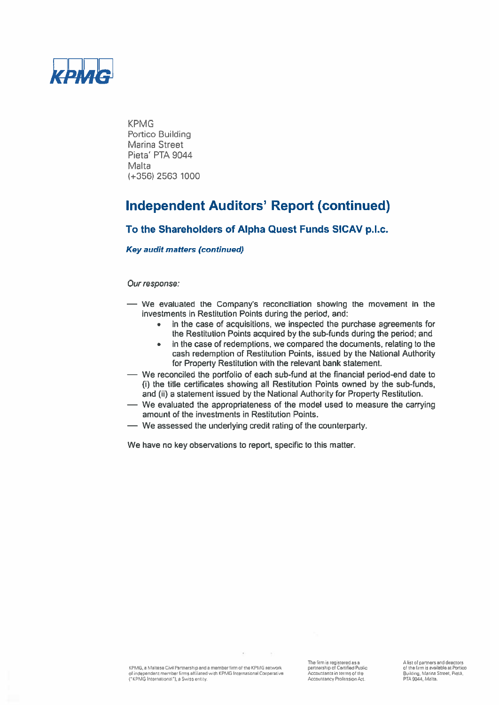

# **Independent Auditors' Report (continued)**

## To the Shareholders of Alpha Quest Funds SICAV p.l.c.

## **Key audit matters (continued)**

### Our response:

- We evaluated the Company's reconciliation showing the movement in the investments in Restitution Points during the period, and:
	- in the case of acquisitions, we inspected the purchase agreements for  $\bullet$ the Restitution Points acquired by the sub-funds during the period; and
	- in the case of redemptions, we compared the documents, relating to the  $\bullet$ cash redemption of Restitution Points, issued by the National Authority for Property Restitution with the relevant bank statement.
- We reconciled the portfolio of each sub-fund at the financial period-end date to (i) the title certificates showing all Restitution Points owned by the sub-funds, and (ii) a statement issued by the National Authority for Property Restitution.
- We evaluated the appropriateness of the model used to measure the carrying amount of the investments in Restitution Points.
- We assessed the underlying credit rating of the counterparty.

We have no key observations to report, specific to this matter.

KPMG, a Maltese Civil Partnership and a member firm of the KPMG network of independent member firms affiliated with KPMG International Cooperative<br>("KPMG International"), a Swiss entity. The firm is registered as a<br>partnership of Certified Public Accountants in terms of the Accountancy Profession Act.

A list of partners and directors<br>of the firm is available at Portico Building, Marina Street, Pietà,<br>PTA 9044, Malta.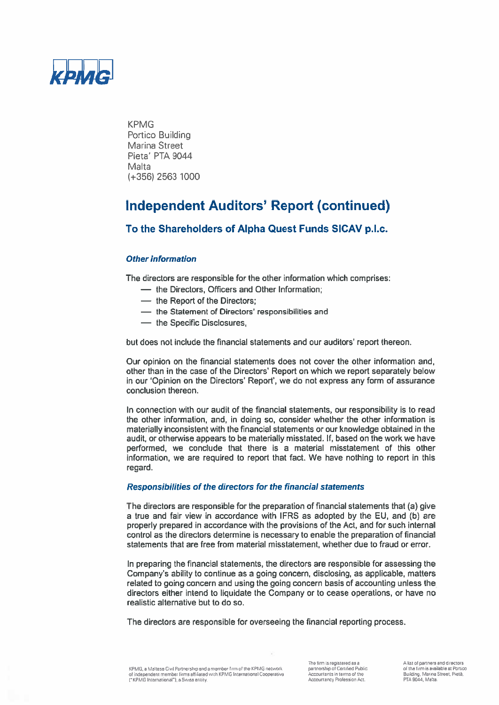

# **Independent Auditors' Report (continued)**

## To the Shareholders of Alpha Quest Funds SICAV p.l.c.

## **Other information**

The directors are responsible for the other information which comprises:

- the Directors. Officers and Other Information:

- the Report of the Directors:
- the Statement of Directors' responsibilities and
- the Specific Disclosures,

but does not include the financial statements and our auditors' report thereon.

Our opinion on the financial statements does not cover the other information and, other than in the case of the Directors' Report on which we report separately below in our 'Opinion on the Directors' Report', we do not express any form of assurance conclusion thereon.

In connection with our audit of the financial statements, our responsibility is to read the other information, and, in doing so, consider whether the other information is materially inconsistent with the financial statements or our knowledge obtained in the audit, or otherwise appears to be materially misstated. If, based on the work we have performed, we conclude that there is a material misstatement of this other information, we are required to report that fact. We have nothing to report in this regard.

### Responsibilities of the directors for the financial statements

The directors are responsible for the preparation of financial statements that (a) give a true and fair view in accordance with IFRS as adopted by the EU, and (b) are properly prepared in accordance with the provisions of the Act, and for such internal control as the directors determine is necessary to enable the preparation of financial statements that are free from material misstatement, whether due to fraud or error.

In preparing the financial statements, the directors are responsible for assessing the Company's ability to continue as a going concern, disclosing, as applicable, matters related to going concern and using the going concern basis of accounting unless the directors either intend to liquidate the Company or to cease operations, or have no realistic alternative but to do so.

The directors are responsible for overseeing the financial reporting process.

KPMG, a Maltesa Civil Partnership and a member firm of the KPMG network. of independent member firms affiliated with KPMG International Cooperative ("KPMG International"), a Swiss entity.

The firm is registered as a enterioris registered as a<br>partnership of Certified Public<br>Accountants in terms of the<br>Accountancy Profession Act. A list of partners and directors of the firm is available at Portion Building, Marina Street, Pietà,<br>PTA 9044, Matta.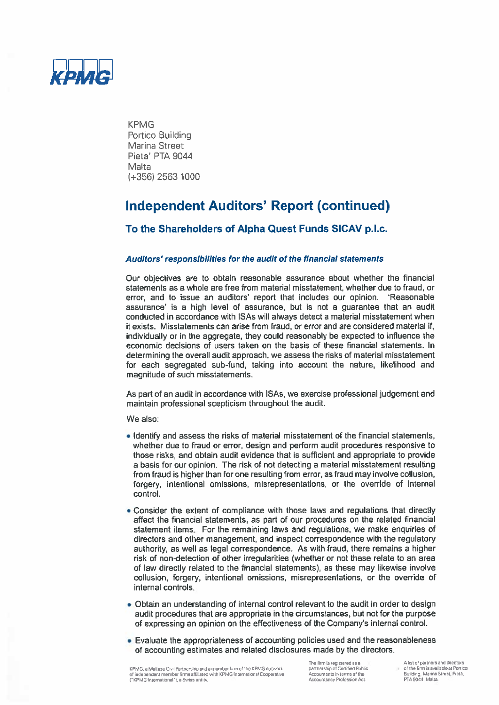

# **Independent Auditors' Report (continued)**

## To the Shareholders of Alpha Quest Funds SICAV p.l.c.

## Auditors' responsibilities for the audit of the financial statements

Our objectives are to obtain reasonable assurance about whether the financial statements as a whole are free from material misstatement, whether due to fraud, or error, and to issue an auditors' report that includes our opinion. 'Reasonable assurance' is a high level of assurance, but is not a guarantee that an audit conducted in accordance with ISAs will always detect a material misstatement when it exists. Misstatements can arise from fraud, or error and are considered material if. individually or in the aggregate, they could reasonably be expected to influence the economic decisions of users taken on the basis of these financial statements. In determining the overall audit approach, we assess the risks of material misstatement for each segregated sub-fund, taking into account the nature, likelihood and magnitude of such misstatements.

As part of an audit in accordance with ISAs, we exercise professional judgement and maintain professional scepticism throughout the audit.

We also:

- . Identify and assess the risks of material misstatement of the financial statements, whether due to fraud or error, design and perform audit procedures responsive to those risks, and obtain audit evidence that is sufficient and appropriate to provide a basis for our opinion. The risk of not detecting a material misstatement resulting from fraud is higher than for one resulting from error, as fraud may involve collusion, forgery, intentional omissions, misrepresentations, or the override of internal control.
- Consider the extent of compliance with those laws and regulations that directly affect the financial statements, as part of our procedures on the related financial statement items. For the remaining laws and regulations, we make enquiries of directors and other management, and inspect correspondence with the regulatory authority, as well as legal correspondence. As with fraud, there remains a higher risk of non-detection of other irregularities (whether or not these relate to an area of law directly related to the financial statements), as these may likewise involve collusion, forgery, intentional omissions, misrepresentations, or the override of internal controls.
- Obtain an understanding of internal control relevant to the audit in order to design audit procedures that are appropriate in the circumstances, but not for the purpose of expressing an opinion on the effectiveness of the Company's internal control.
- Evaluate the appropriateness of accounting policies used and the reasonableness of accounting estimates and related disclosures made by the directors.

The firm is registered as a partnership of Certified Public Accountants in terms of the Accountancy Profession Act.

A fist of partners and directors of the firm is available at Portico Building, Marina Street, Pietà,<br>PTA 9044, Malta.

w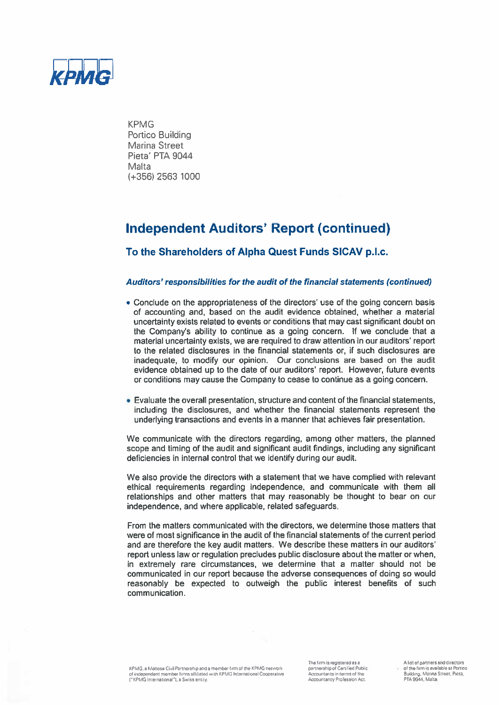

# **Independent Auditors' Report (continued)**

## To the Shareholders of Alpha Quest Funds SICAV p.l.c.

### Auditors' responsibilities for the audit of the financial statements (continued)

- Conclude on the appropriateness of the directors' use of the going concern basis of accounting and, based on the audit evidence obtained, whether a material uncertainty exists related to events or conditions that may cast significant doubt on the Company's ability to continue as a going concern. If we conclude that a material uncertainty exists, we are required to draw attention in our auditors' report to the related disclosures in the financial statements or, if such disclosures are inadequate, to modify our opinion. Our conclusions are based on the audit evidence obtained up to the date of our auditors' report. However, future events or conditions may cause the Company to cease to continue as a going concern.
- Evaluate the overall presentation, structure and content of the financial statements, including the disclosures, and whether the financial statements represent the underlying transactions and events in a manner that achieves fair presentation.

We communicate with the directors regarding, among other matters, the planned scope and timing of the audit and significant audit findings, including any significant deficiencies in internal control that we identify during our audit.

We also provide the directors with a statement that we have complied with relevant ethical requirements regarding independence, and communicate with them all relationships and other matters that may reasonably be thought to bear on our independence, and where applicable, related safeguards.

From the matters communicated with the directors, we determine those matters that were of most significance in the audit of the financial statements of the current period and are therefore the key audit matters. We describe these matters in our auditors' report unless law or regulation precludes public disclosure about the matter or when, in extremely rare circumstances, we determine that a matter should not be communicated in our report because the adverse consequences of doing so would reasonably be expected to outweigh the public interest benefits of such communication.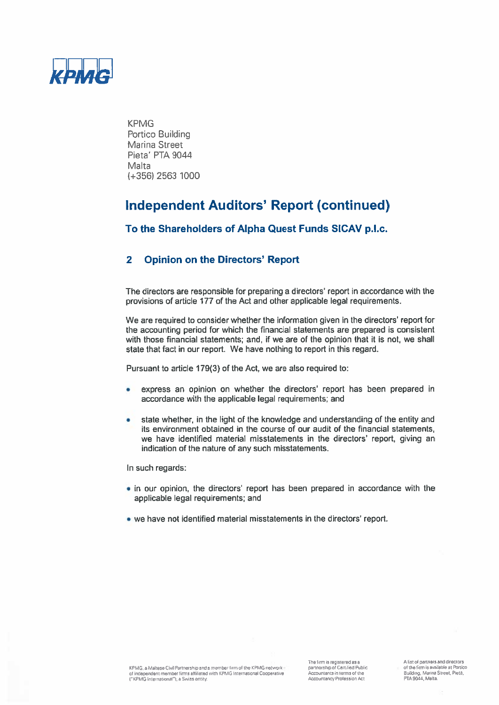

# **Independent Auditors' Report (continued)**

To the Shareholders of Alpha Quest Funds SICAV p.l.c.

#### **Opinion on the Directors' Report**  $\mathbf{2}$

The directors are responsible for preparing a directors' report in accordance with the provisions of article 177 of the Act and other applicable legal requirements.

We are required to consider whether the information given in the directors' report for the accounting period for which the financial statements are prepared is consistent with those financial statements; and, if we are of the opinion that it is not, we shall state that fact in our report. We have nothing to report in this regard.

Pursuant to article 179(3) of the Act, we are also required to:

- express an opinion on whether the directors' report has been prepared in ٠ accordance with the applicable legal requirements; and
- state whether, in the light of the knowledge and understanding of the entity and ٠ its environment obtained in the course of our audit of the financial statements, we have identified material misstatements in the directors' report, giving an indication of the nature of any such misstatements.

In such regards:

- in our opinion, the directors' report has been prepared in accordance with the applicable legal requirements; and
- . we have not identified material misstatements in the directors' report.